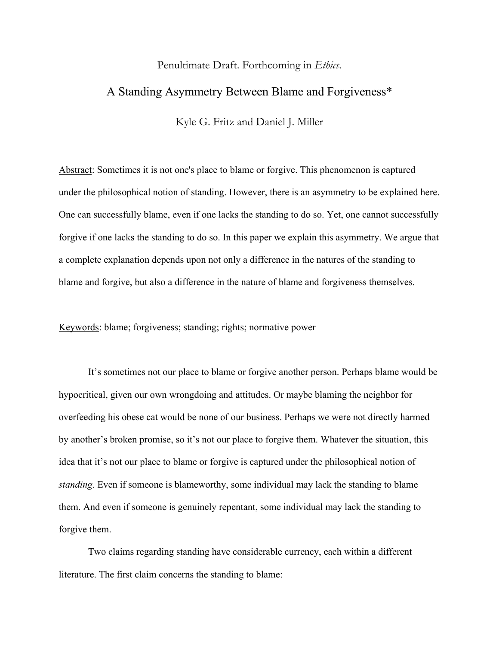## Penultimate Draft. Forthcoming in *Ethics*.

# A Standing Asymmetry Between Blame and Forgiveness\*

Kyle G. Fritz and Daniel J. Miller

Abstract: Sometimes it is not one's place to blame or forgive. This phenomenon is captured under the philosophical notion of standing. However, there is an asymmetry to be explained here. One can successfully blame, even if one lacks the standing to do so. Yet, one cannot successfully forgive if one lacks the standing to do so. In this paper we explain this asymmetry. We argue that a complete explanation depends upon not only a difference in the natures of the standing to blame and forgive, but also a difference in the nature of blame and forgiveness themselves.

Keywords: blame; forgiveness; standing; rights; normative power

It's sometimes not our place to blame or forgive another person. Perhaps blame would be hypocritical, given our own wrongdoing and attitudes. Or maybe blaming the neighbor for overfeeding his obese cat would be none of our business. Perhaps we were not directly harmed by another's broken promise, so it's not our place to forgive them. Whatever the situation, this idea that it's not our place to blame or forgive is captured under the philosophical notion of *standing*. Even if someone is blameworthy, some individual may lack the standing to blame them. And even if someone is genuinely repentant, some individual may lack the standing to forgive them.

Two claims regarding standing have considerable currency, each within a different literature. The first claim concerns the standing to blame: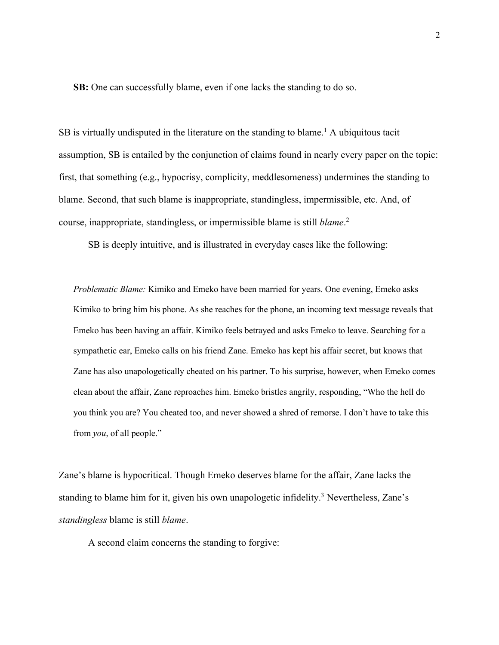**SB:** One can successfully blame, even if one lacks the standing to do so.

SB is virtually undisputed in the literature on the standing to blame.<sup>1</sup> A ubiquitous tacit assumption, SB is entailed by the conjunction of claims found in nearly every paper on the topic: first, that something (e.g., hypocrisy, complicity, meddlesomeness) undermines the standing to blame. Second, that such blame is inappropriate, standingless, impermissible, etc. And, of course, inappropriate, standingless, or impermissible blame is still *blame*. 2

SB is deeply intuitive, and is illustrated in everyday cases like the following:

*Problematic Blame:* Kimiko and Emeko have been married for years. One evening, Emeko asks Kimiko to bring him his phone. As she reaches for the phone, an incoming text message reveals that Emeko has been having an affair. Kimiko feels betrayed and asks Emeko to leave. Searching for a sympathetic ear, Emeko calls on his friend Zane. Emeko has kept his affair secret, but knows that Zane has also unapologetically cheated on his partner. To his surprise, however, when Emeko comes clean about the affair, Zane reproaches him. Emeko bristles angrily, responding, "Who the hell do you think you are? You cheated too, and never showed a shred of remorse. I don't have to take this from *you*, of all people."

Zane's blame is hypocritical. Though Emeko deserves blame for the affair, Zane lacks the standing to blame him for it, given his own unapologetic infidelity.<sup>3</sup> Nevertheless, Zane's *standingless* blame is still *blame*.

A second claim concerns the standing to forgive: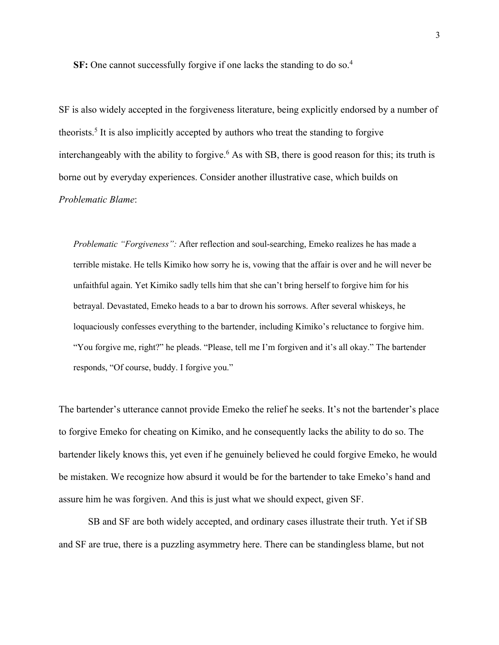**SF:** One cannot successfully forgive if one lacks the standing to do so.<sup>4</sup>

SF is also widely accepted in the forgiveness literature, being explicitly endorsed by a number of theorists.5 It is also implicitly accepted by authors who treat the standing to forgive interchangeably with the ability to forgive.<sup>6</sup> As with SB, there is good reason for this; its truth is borne out by everyday experiences. Consider another illustrative case, which builds on *Problematic Blame*:

*Problematic "Forgiveness":* After reflection and soul-searching, Emeko realizes he has made a terrible mistake. He tells Kimiko how sorry he is, vowing that the affair is over and he will never be unfaithful again. Yet Kimiko sadly tells him that she can't bring herself to forgive him for his betrayal. Devastated, Emeko heads to a bar to drown his sorrows. After several whiskeys, he loquaciously confesses everything to the bartender, including Kimiko's reluctance to forgive him. "You forgive me, right?" he pleads. "Please, tell me I'm forgiven and it's all okay." The bartender responds, "Of course, buddy. I forgive you."

The bartender's utterance cannot provide Emeko the relief he seeks. It's not the bartender's place to forgive Emeko for cheating on Kimiko, and he consequently lacks the ability to do so. The bartender likely knows this, yet even if he genuinely believed he could forgive Emeko, he would be mistaken. We recognize how absurd it would be for the bartender to take Emeko's hand and assure him he was forgiven. And this is just what we should expect, given SF.

SB and SF are both widely accepted, and ordinary cases illustrate their truth. Yet if SB and SF are true, there is a puzzling asymmetry here. There can be standingless blame, but not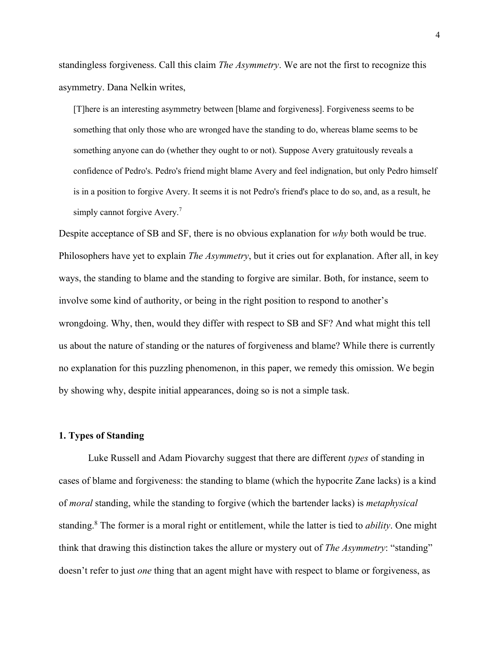standingless forgiveness. Call this claim *The Asymmetry*. We are not the first to recognize this asymmetry. Dana Nelkin writes,

[T]here is an interesting asymmetry between [blame and forgiveness]. Forgiveness seems to be something that only those who are wronged have the standing to do, whereas blame seems to be something anyone can do (whether they ought to or not). Suppose Avery gratuitously reveals a confidence of Pedro's. Pedro's friend might blame Avery and feel indignation, but only Pedro himself is in a position to forgive Avery. It seems it is not Pedro's friend's place to do so, and, as a result, he simply cannot forgive Avery.<sup>7</sup>

Despite acceptance of SB and SF, there is no obvious explanation for *why* both would be true. Philosophers have yet to explain *The Asymmetry*, but it cries out for explanation. After all, in key ways, the standing to blame and the standing to forgive are similar. Both, for instance, seem to involve some kind of authority, or being in the right position to respond to another's wrongdoing. Why, then, would they differ with respect to SB and SF? And what might this tell us about the nature of standing or the natures of forgiveness and blame? While there is currently no explanation for this puzzling phenomenon, in this paper, we remedy this omission. We begin by showing why, despite initial appearances, doing so is not a simple task.

## **1. Types of Standing**

Luke Russell and Adam Piovarchy suggest that there are different *types* of standing in cases of blame and forgiveness: the standing to blame (which the hypocrite Zane lacks) is a kind of *moral* standing, while the standing to forgive (which the bartender lacks) is *metaphysical* standing.8 The former is a moral right or entitlement, while the latter is tied to *ability*. One might think that drawing this distinction takes the allure or mystery out of *The Asymmetry*: "standing" doesn't refer to just *one* thing that an agent might have with respect to blame or forgiveness, as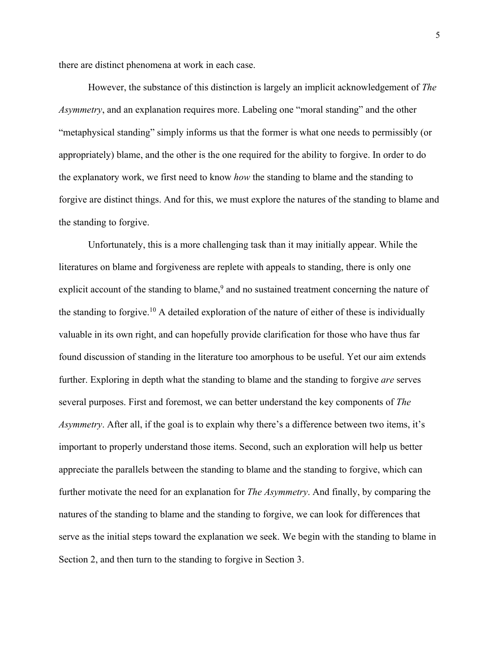there are distinct phenomena at work in each case.

However, the substance of this distinction is largely an implicit acknowledgement of *The Asymmetry*, and an explanation requires more. Labeling one "moral standing" and the other "metaphysical standing" simply informs us that the former is what one needs to permissibly (or appropriately) blame, and the other is the one required for the ability to forgive. In order to do the explanatory work, we first need to know *how* the standing to blame and the standing to forgive are distinct things. And for this, we must explore the natures of the standing to blame and the standing to forgive.

Unfortunately, this is a more challenging task than it may initially appear. While the literatures on blame and forgiveness are replete with appeals to standing, there is only one explicit account of the standing to blame,<sup>9</sup> and no sustained treatment concerning the nature of the standing to forgive.<sup>10</sup> A detailed exploration of the nature of either of these is individually valuable in its own right, and can hopefully provide clarification for those who have thus far found discussion of standing in the literature too amorphous to be useful. Yet our aim extends further. Exploring in depth what the standing to blame and the standing to forgive *are* serves several purposes. First and foremost, we can better understand the key components of *The Asymmetry*. After all, if the goal is to explain why there's a difference between two items, it's important to properly understand those items. Second, such an exploration will help us better appreciate the parallels between the standing to blame and the standing to forgive, which can further motivate the need for an explanation for *The Asymmetry*. And finally, by comparing the natures of the standing to blame and the standing to forgive, we can look for differences that serve as the initial steps toward the explanation we seek. We begin with the standing to blame in Section 2, and then turn to the standing to forgive in Section 3.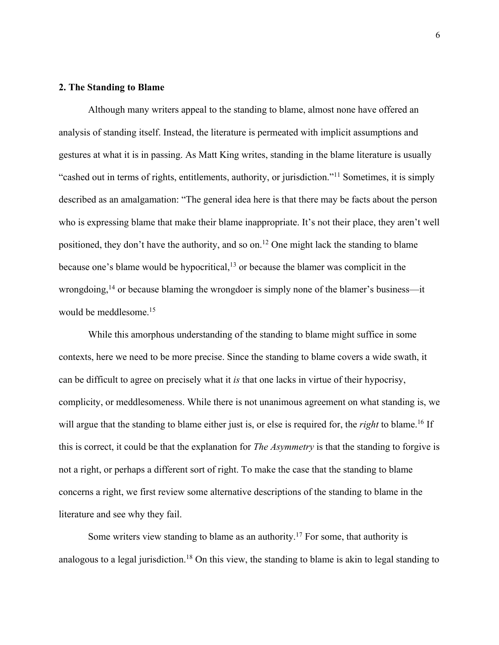## **2. The Standing to Blame**

Although many writers appeal to the standing to blame, almost none have offered an analysis of standing itself. Instead, the literature is permeated with implicit assumptions and gestures at what it is in passing. As Matt King writes, standing in the blame literature is usually "cashed out in terms of rights, entitlements, authority, or jurisdiction."11 Sometimes, it is simply described as an amalgamation: "The general idea here is that there may be facts about the person who is expressing blame that make their blame inappropriate. It's not their place, they aren't well positioned, they don't have the authority, and so on.12 One might lack the standing to blame because one's blame would be hypocritical,<sup>13</sup> or because the blamer was complicit in the wrongdoing,<sup>14</sup> or because blaming the wrongdoer is simply none of the blamer's business—it would be meddlesome.15

While this amorphous understanding of the standing to blame might suffice in some contexts, here we need to be more precise. Since the standing to blame covers a wide swath, it can be difficult to agree on precisely what it *is* that one lacks in virtue of their hypocrisy, complicity, or meddlesomeness. While there is not unanimous agreement on what standing is, we will argue that the standing to blame either just is, or else is required for, the *right* to blame.<sup>16</sup> If this is correct, it could be that the explanation for *The Asymmetry* is that the standing to forgive is not a right, or perhaps a different sort of right. To make the case that the standing to blame concerns a right, we first review some alternative descriptions of the standing to blame in the literature and see why they fail.

Some writers view standing to blame as an authority.<sup>17</sup> For some, that authority is analogous to a legal jurisdiction.<sup>18</sup> On this view, the standing to blame is akin to legal standing to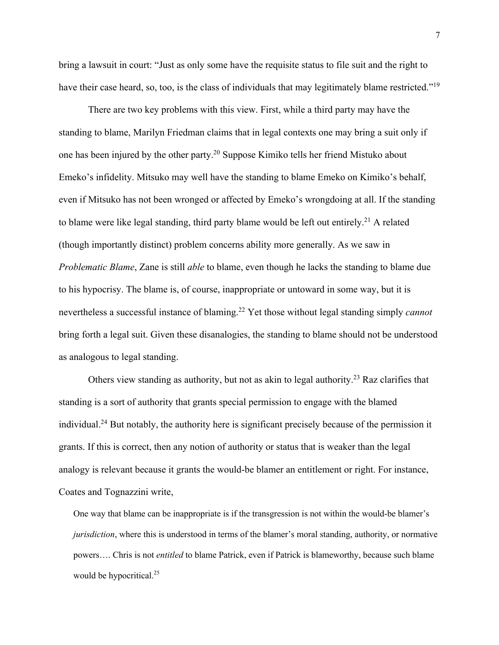bring a lawsuit in court: "Just as only some have the requisite status to file suit and the right to have their case heard, so, too, is the class of individuals that may legitimately blame restricted."<sup>19</sup>

There are two key problems with this view. First, while a third party may have the standing to blame, Marilyn Friedman claims that in legal contexts one may bring a suit only if one has been injured by the other party.20 Suppose Kimiko tells her friend Mistuko about Emeko's infidelity. Mitsuko may well have the standing to blame Emeko on Kimiko's behalf, even if Mitsuko has not been wronged or affected by Emeko's wrongdoing at all. If the standing to blame were like legal standing, third party blame would be left out entirely.<sup>21</sup> A related (though importantly distinct) problem concerns ability more generally. As we saw in *Problematic Blame*, Zane is still *able* to blame, even though he lacks the standing to blame due to his hypocrisy. The blame is, of course, inappropriate or untoward in some way, but it is nevertheless a successful instance of blaming.22 Yet those without legal standing simply *cannot* bring forth a legal suit. Given these disanalogies, the standing to blame should not be understood as analogous to legal standing.

Others view standing as authority, but not as akin to legal authority.<sup>23</sup> Raz clarifies that standing is a sort of authority that grants special permission to engage with the blamed individual.24 But notably, the authority here is significant precisely because of the permission it grants. If this is correct, then any notion of authority or status that is weaker than the legal analogy is relevant because it grants the would-be blamer an entitlement or right. For instance, Coates and Tognazzini write,

One way that blame can be inappropriate is if the transgression is not within the would-be blamer's *jurisdiction*, where this is understood in terms of the blamer's moral standing, authority, or normative powers…. Chris is not *entitled* to blame Patrick, even if Patrick is blameworthy, because such blame would be hypocritical.<sup>25</sup>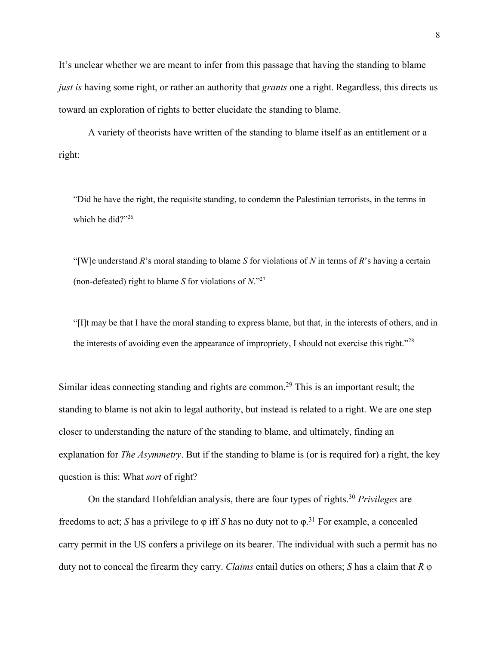It's unclear whether we are meant to infer from this passage that having the standing to blame *just is* having some right, or rather an authority that *grants* one a right. Regardless, this directs us toward an exploration of rights to better elucidate the standing to blame.

A variety of theorists have written of the standing to blame itself as an entitlement or a right:

"Did he have the right, the requisite standing, to condemn the Palestinian terrorists, in the terms in which he did?"26

"[W]e understand *R*'s moral standing to blame *S* for violations of *N* in terms of *R*'s having a certain (non-defeated) right to blame *S* for violations of *N*."27

"[I]t may be that I have the moral standing to express blame, but that, in the interests of others, and in the interests of avoiding even the appearance of impropriety, I should not exercise this right."<sup>28</sup>

Similar ideas connecting standing and rights are common.<sup>29</sup> This is an important result; the standing to blame is not akin to legal authority, but instead is related to a right. We are one step closer to understanding the nature of the standing to blame, and ultimately, finding an explanation for *The Asymmetry*. But if the standing to blame is (or is required for) a right, the key question is this: What *sort* of right?

On the standard Hohfeldian analysis, there are four types of rights.30 *Privileges* are freedoms to act; *S* has a privilege to φ iff *S* has no duty not to φ. <sup>31</sup> For example, a concealed carry permit in the US confers a privilege on its bearer. The individual with such a permit has no duty not to conceal the firearm they carry. *Claims* entail duties on others; *S* has a claim that *R* φ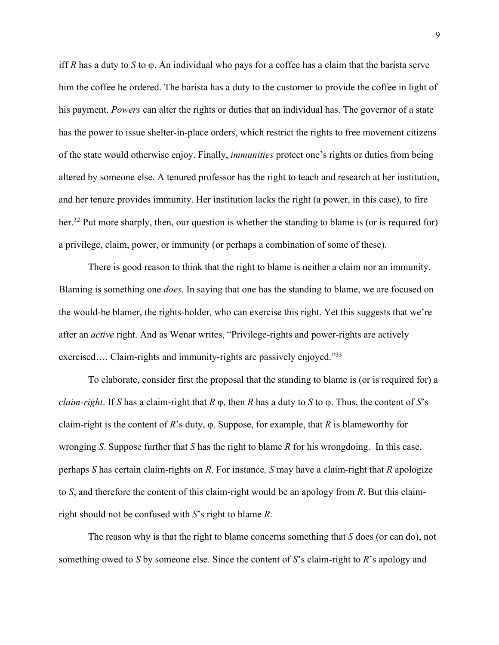iff *R* has a duty to *S* to φ. An individual who pays for a coffee has a claim that the barista serve him the coffee he ordered. The barista has a duty to the customer to provide the coffee in light of his payment. *Powers* can alter the rights or duties that an individual has. The governor of a state has the power to issue shelter-in-place orders, which restrict the rights to free movement citizens of the state would otherwise enjoy. Finally, *immunities* protect one's rights or duties from being altered by someone else. A tenured professor has the right to teach and research at her institution, and her tenure provides immunity. Her institution lacks the right (a power, in this case), to fire her.<sup>32</sup> Put more sharply, then, our question is whether the standing to blame is (or is required for) a privilege, claim, power, or immunity (or perhaps a combination of some of these).

There is good reason to think that the right to blame is neither a claim nor an immunity. Blaming is something one *does*. In saying that one has the standing to blame, we are focused on the would-be blamer, the rights-holder, who can exercise this right. Yet this suggests that we're after an *active* right. And as Wenar writes, "Privilege-rights and power-rights are actively exercised.... Claim-rights and immunity-rights are passively enjoyed."33

To elaborate, consider first the proposal that the standing to blame is (or is required for) a *claim-right*. If *S* has a claim-right that *R* φ, then *R* has a duty to *S* to φ. Thus, the content of *S*'s claim-right is the content of *R*'s duty, φ. Suppose, for example, that *R* is blameworthy for wronging *S*. Suppose further that *S* has the right to blame *R* for his wrongdoing. In this case, perhaps *S* has certain claim-rights on *R*. For instance*, S* may have a claim-right that *R* apologize to *S*, and therefore the content of this claim-right would be an apology from *R*. But this claimright should not be confused with *S*'s right to blame *R*.

The reason why is that the right to blame concerns something that *S* does (or can do), not something owed to *S* by someone else. Since the content of *S*'s claim-right to *R*'s apology and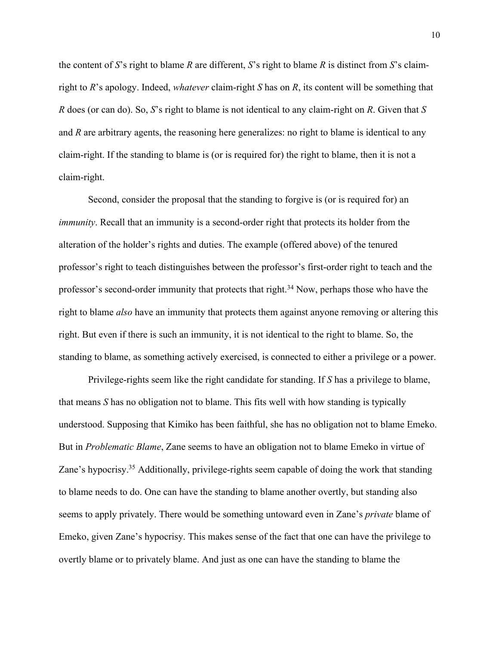the content of *S*'s right to blame *R* are different, *S*'s right to blame *R* is distinct from *S*'s claimright to *R*'s apology. Indeed, *whatever* claim-right *S* has on *R*, its content will be something that *R* does (or can do). So, *S*'s right to blame is not identical to any claim-right on *R*. Given that *S* and *R* are arbitrary agents, the reasoning here generalizes: no right to blame is identical to any claim-right. If the standing to blame is (or is required for) the right to blame, then it is not a claim-right.

Second, consider the proposal that the standing to forgive is (or is required for) an *immunity*. Recall that an immunity is a second-order right that protects its holder from the alteration of the holder's rights and duties. The example (offered above) of the tenured professor's right to teach distinguishes between the professor's first-order right to teach and the professor's second-order immunity that protects that right.<sup>34</sup> Now, perhaps those who have the right to blame *also* have an immunity that protects them against anyone removing or altering this right. But even if there is such an immunity, it is not identical to the right to blame. So, the standing to blame, as something actively exercised, is connected to either a privilege or a power.

Privilege-rights seem like the right candidate for standing. If *S* has a privilege to blame, that means *S* has no obligation not to blame. This fits well with how standing is typically understood. Supposing that Kimiko has been faithful, she has no obligation not to blame Emeko. But in *Problematic Blame*, Zane seems to have an obligation not to blame Emeko in virtue of Zane's hypocrisy.35 Additionally, privilege-rights seem capable of doing the work that standing to blame needs to do. One can have the standing to blame another overtly, but standing also seems to apply privately. There would be something untoward even in Zane's *private* blame of Emeko, given Zane's hypocrisy. This makes sense of the fact that one can have the privilege to overtly blame or to privately blame. And just as one can have the standing to blame the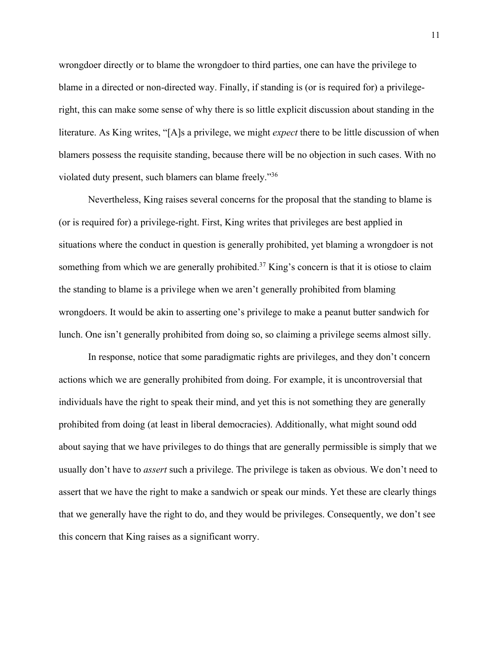wrongdoer directly or to blame the wrongdoer to third parties, one can have the privilege to blame in a directed or non-directed way. Finally, if standing is (or is required for) a privilegeright, this can make some sense of why there is so little explicit discussion about standing in the literature. As King writes, "[A]s a privilege, we might *expect* there to be little discussion of when blamers possess the requisite standing, because there will be no objection in such cases. With no violated duty present, such blamers can blame freely."36

Nevertheless, King raises several concerns for the proposal that the standing to blame is (or is required for) a privilege-right. First, King writes that privileges are best applied in situations where the conduct in question is generally prohibited, yet blaming a wrongdoer is not something from which we are generally prohibited.<sup>37</sup> King's concern is that it is otiose to claim the standing to blame is a privilege when we aren't generally prohibited from blaming wrongdoers. It would be akin to asserting one's privilege to make a peanut butter sandwich for lunch. One isn't generally prohibited from doing so, so claiming a privilege seems almost silly.

In response, notice that some paradigmatic rights are privileges, and they don't concern actions which we are generally prohibited from doing. For example, it is uncontroversial that individuals have the right to speak their mind, and yet this is not something they are generally prohibited from doing (at least in liberal democracies). Additionally, what might sound odd about saying that we have privileges to do things that are generally permissible is simply that we usually don't have to *assert* such a privilege. The privilege is taken as obvious. We don't need to assert that we have the right to make a sandwich or speak our minds. Yet these are clearly things that we generally have the right to do, and they would be privileges. Consequently, we don't see this concern that King raises as a significant worry.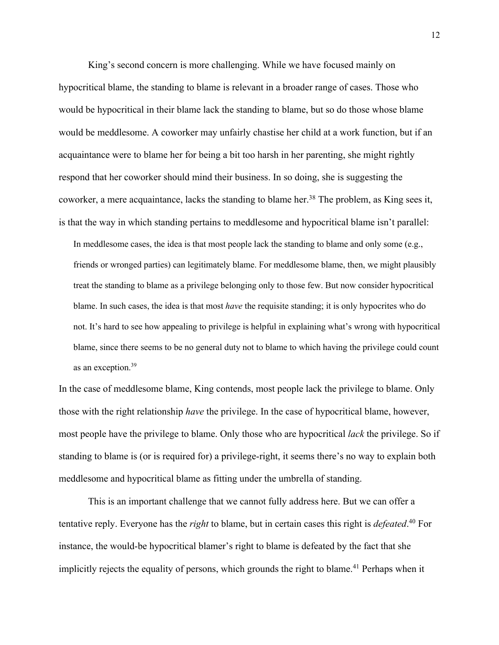King's second concern is more challenging. While we have focused mainly on hypocritical blame, the standing to blame is relevant in a broader range of cases. Those who would be hypocritical in their blame lack the standing to blame, but so do those whose blame would be meddlesome. A coworker may unfairly chastise her child at a work function, but if an acquaintance were to blame her for being a bit too harsh in her parenting, she might rightly respond that her coworker should mind their business. In so doing, she is suggesting the coworker, a mere acquaintance, lacks the standing to blame her.<sup>38</sup> The problem, as King sees it, is that the way in which standing pertains to meddlesome and hypocritical blame isn't parallel: In meddlesome cases, the idea is that most people lack the standing to blame and only some (e.g., friends or wronged parties) can legitimately blame. For meddlesome blame, then, we might plausibly treat the standing to blame as a privilege belonging only to those few. But now consider hypocritical blame. In such cases, the idea is that most *have* the requisite standing; it is only hypocrites who do not. It's hard to see how appealing to privilege is helpful in explaining what's wrong with hypocritical blame, since there seems to be no general duty not to blame to which having the privilege could count as an exception.<sup>39</sup>

In the case of meddlesome blame, King contends, most people lack the privilege to blame. Only those with the right relationship *have* the privilege. In the case of hypocritical blame, however, most people have the privilege to blame. Only those who are hypocritical *lack* the privilege. So if standing to blame is (or is required for) a privilege-right, it seems there's no way to explain both meddlesome and hypocritical blame as fitting under the umbrella of standing.

This is an important challenge that we cannot fully address here. But we can offer a tentative reply. Everyone has the *right* to blame, but in certain cases this right is *defeated*. <sup>40</sup> For instance, the would-be hypocritical blamer's right to blame is defeated by the fact that she implicitly rejects the equality of persons, which grounds the right to blame.<sup>41</sup> Perhaps when it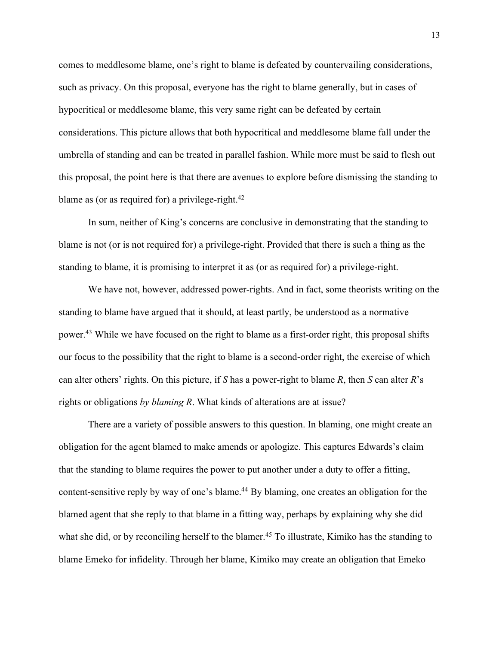comes to meddlesome blame, one's right to blame is defeated by countervailing considerations, such as privacy. On this proposal, everyone has the right to blame generally, but in cases of hypocritical or meddlesome blame, this very same right can be defeated by certain considerations. This picture allows that both hypocritical and meddlesome blame fall under the umbrella of standing and can be treated in parallel fashion. While more must be said to flesh out this proposal, the point here is that there are avenues to explore before dismissing the standing to blame as (or as required for) a privilege-right. $42$ 

In sum, neither of King's concerns are conclusive in demonstrating that the standing to blame is not (or is not required for) a privilege-right. Provided that there is such a thing as the standing to blame, it is promising to interpret it as (or as required for) a privilege-right.

We have not, however, addressed power-rights. And in fact, some theorists writing on the standing to blame have argued that it should, at least partly, be understood as a normative power.43 While we have focused on the right to blame as a first-order right, this proposal shifts our focus to the possibility that the right to blame is a second-order right, the exercise of which can alter others' rights. On this picture, if *S* has a power-right to blame *R*, then *S* can alter *R*'s rights or obligations *by blaming R*. What kinds of alterations are at issue?

There are a variety of possible answers to this question. In blaming, one might create an obligation for the agent blamed to make amends or apologize. This captures Edwards's claim that the standing to blame requires the power to put another under a duty to offer a fitting, content-sensitive reply by way of one's blame.<sup>44</sup> By blaming, one creates an obligation for the blamed agent that she reply to that blame in a fitting way, perhaps by explaining why she did what she did, or by reconciling herself to the blamer.<sup>45</sup> To illustrate, Kimiko has the standing to blame Emeko for infidelity. Through her blame, Kimiko may create an obligation that Emeko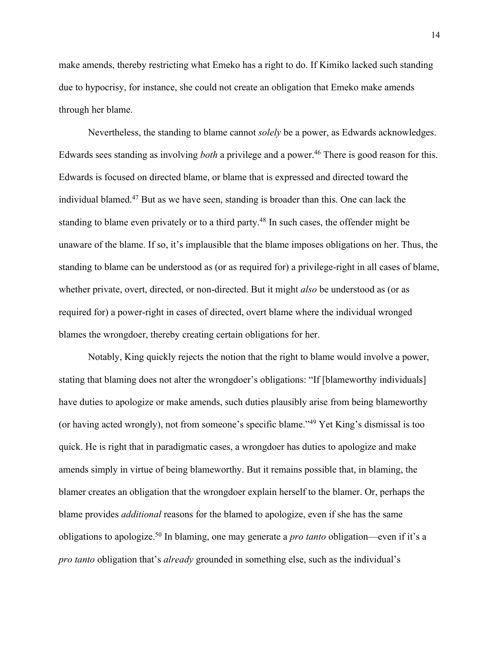make amends, thereby restricting what Emeko has a right to do. If Kimiko lacked such standing due to hypocrisy, for instance, she could not create an obligation that Emeko make amends through her blame.

Nevertheless, the standing to blame cannot *solely* be a power, as Edwards acknowledges. Edwards sees standing as involving *both* a privilege and a power.<sup>46</sup> There is good reason for this. Edwards is focused on directed blame, or blame that is expressed and directed toward the individual blamed.47 But as we have seen, standing is broader than this. One can lack the standing to blame even privately or to a third party.<sup>48</sup> In such cases, the offender might be unaware of the blame. If so, it's implausible that the blame imposes obligations on her. Thus, the standing to blame can be understood as (or as required for) a privilege-right in all cases of blame, whether private, overt, directed, or non-directed. But it might *also* be understood as (or as required for) a power-right in cases of directed, overt blame where the individual wronged blames the wrongdoer, thereby creating certain obligations for her.

Notably, King quickly rejects the notion that the right to blame would involve a power, stating that blaming does not alter the wrongdoer's obligations: "If [blameworthy individuals] have duties to apologize or make amends, such duties plausibly arise from being blameworthy (or having acted wrongly), not from someone's specific blame."49 Yet King's dismissal is too quick. He is right that in paradigmatic cases, a wrongdoer has duties to apologize and make amends simply in virtue of being blameworthy. But it remains possible that, in blaming, the blamer creates an obligation that the wrongdoer explain herself to the blamer. Or, perhaps the blame provides *additional* reasons for the blamed to apologize, even if she has the same obligations to apologize.50 In blaming, one may generate a *pro tanto* obligation—even if it's a *pro tanto* obligation that's *already* grounded in something else, such as the individual's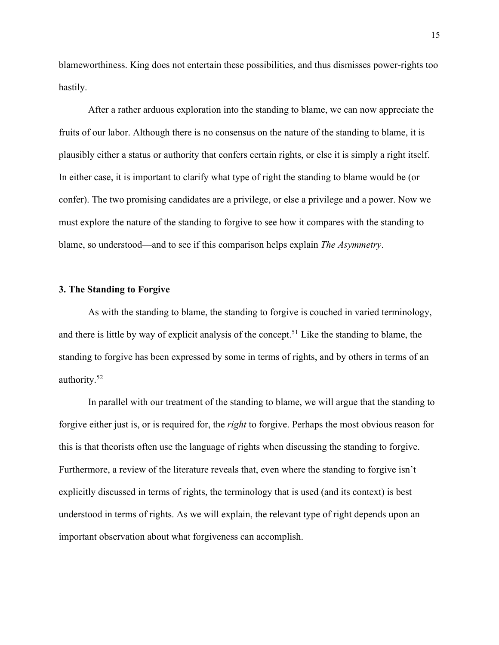blameworthiness. King does not entertain these possibilities, and thus dismisses power-rights too hastily.

After a rather arduous exploration into the standing to blame, we can now appreciate the fruits of our labor. Although there is no consensus on the nature of the standing to blame, it is plausibly either a status or authority that confers certain rights, or else it is simply a right itself. In either case, it is important to clarify what type of right the standing to blame would be (or confer). The two promising candidates are a privilege, or else a privilege and a power. Now we must explore the nature of the standing to forgive to see how it compares with the standing to blame, so understood—and to see if this comparison helps explain *The Asymmetry*.

#### **3. The Standing to Forgive**

As with the standing to blame, the standing to forgive is couched in varied terminology, and there is little by way of explicit analysis of the concept.<sup>51</sup> Like the standing to blame, the standing to forgive has been expressed by some in terms of rights, and by others in terms of an authority.52

In parallel with our treatment of the standing to blame, we will argue that the standing to forgive either just is, or is required for, the *right* to forgive. Perhaps the most obvious reason for this is that theorists often use the language of rights when discussing the standing to forgive. Furthermore, a review of the literature reveals that, even where the standing to forgive isn't explicitly discussed in terms of rights, the terminology that is used (and its context) is best understood in terms of rights. As we will explain, the relevant type of right depends upon an important observation about what forgiveness can accomplish.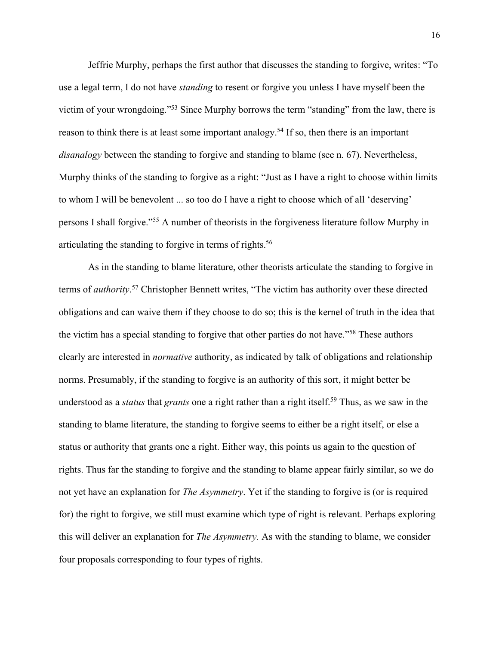Jeffrie Murphy, perhaps the first author that discusses the standing to forgive, writes: "To use a legal term, I do not have *standing* to resent or forgive you unless I have myself been the victim of your wrongdoing."53 Since Murphy borrows the term "standing" from the law, there is reason to think there is at least some important analogy.<sup>54</sup> If so, then there is an important *disanalogy* between the standing to forgive and standing to blame (see n. 67). Nevertheless, Murphy thinks of the standing to forgive as a right: "Just as I have a right to choose within limits to whom I will be benevolent ... so too do I have a right to choose which of all 'deserving' persons I shall forgive."55 A number of theorists in the forgiveness literature follow Murphy in articulating the standing to forgive in terms of rights.<sup>56</sup>

As in the standing to blame literature, other theorists articulate the standing to forgive in terms of *authority*. <sup>57</sup> Christopher Bennett writes, "The victim has authority over these directed obligations and can waive them if they choose to do so; this is the kernel of truth in the idea that the victim has a special standing to forgive that other parties do not have."58 These authors clearly are interested in *normative* authority, as indicated by talk of obligations and relationship norms. Presumably, if the standing to forgive is an authority of this sort, it might better be understood as a *status* that *grants* one a right rather than a right itself.59 Thus, as we saw in the standing to blame literature, the standing to forgive seems to either be a right itself, or else a status or authority that grants one a right. Either way, this points us again to the question of rights. Thus far the standing to forgive and the standing to blame appear fairly similar, so we do not yet have an explanation for *The Asymmetry*. Yet if the standing to forgive is (or is required for) the right to forgive, we still must examine which type of right is relevant. Perhaps exploring this will deliver an explanation for *The Asymmetry.* As with the standing to blame, we consider four proposals corresponding to four types of rights.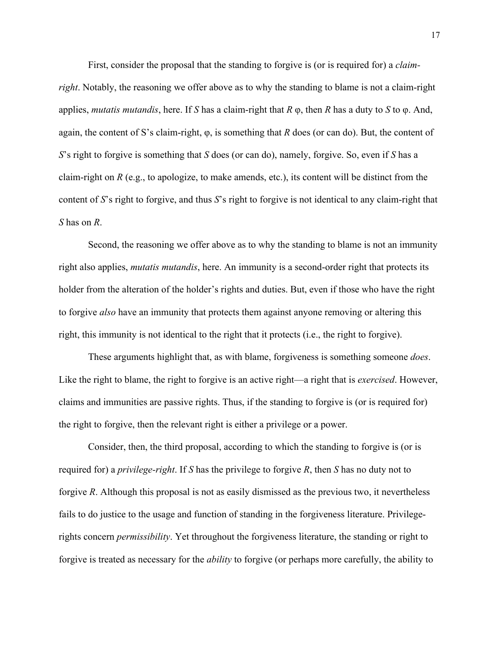First, consider the proposal that the standing to forgive is (or is required for) a *claimright*. Notably, the reasoning we offer above as to why the standing to blame is not a claim-right applies, *mutatis mutandis*, here. If *S* has a claim-right that *R* φ, then *R* has a duty to *S* to φ. And, again, the content of S's claim-right, φ, is something that *R* does (or can do). But, the content of *S*'s right to forgive is something that *S* does (or can do), namely, forgive. So, even if *S* has a claim-right on *R* (e.g., to apologize, to make amends, etc.), its content will be distinct from the content of *S*'s right to forgive, and thus *S*'s right to forgive is not identical to any claim-right that *S* has on *R*.

Second, the reasoning we offer above as to why the standing to blame is not an immunity right also applies, *mutatis mutandis*, here. An immunity is a second-order right that protects its holder from the alteration of the holder's rights and duties. But, even if those who have the right to forgive *also* have an immunity that protects them against anyone removing or altering this right, this immunity is not identical to the right that it protects (i.e., the right to forgive).

These arguments highlight that, as with blame, forgiveness is something someone *does*. Like the right to blame, the right to forgive is an active right—a right that is *exercised*. However, claims and immunities are passive rights. Thus, if the standing to forgive is (or is required for) the right to forgive, then the relevant right is either a privilege or a power.

Consider, then, the third proposal, according to which the standing to forgive is (or is required for) a *privilege-right*. If *S* has the privilege to forgive *R*, then *S* has no duty not to forgive *R*. Although this proposal is not as easily dismissed as the previous two, it nevertheless fails to do justice to the usage and function of standing in the forgiveness literature. Privilegerights concern *permissibility*. Yet throughout the forgiveness literature, the standing or right to forgive is treated as necessary for the *ability* to forgive (or perhaps more carefully, the ability to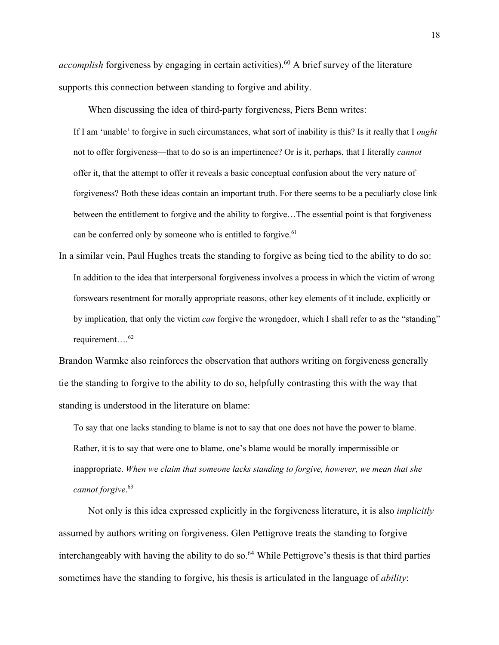*accomplish* forgiveness by engaging in certain activities).<sup>60</sup> A brief survey of the literature supports this connection between standing to forgive and ability.

When discussing the idea of third-party forgiveness, Piers Benn writes:

If I am 'unable' to forgive in such circumstances, what sort of inability is this? Is it really that I *ought* not to offer forgiveness—that to do so is an impertinence? Or is it, perhaps, that I literally *cannot* offer it, that the attempt to offer it reveals a basic conceptual confusion about the very nature of forgiveness? Both these ideas contain an important truth. For there seems to be a peculiarly close link between the entitlement to forgive and the ability to forgive…The essential point is that forgiveness can be conferred only by someone who is entitled to forgive.<sup>61</sup>

In a similar vein, Paul Hughes treats the standing to forgive as being tied to the ability to do so: In addition to the idea that interpersonal forgiveness involves a process in which the victim of wrong forswears resentment for morally appropriate reasons, other key elements of it include, explicitly or by implication, that only the victim *can* forgive the wrongdoer, which I shall refer to as the "standing" requirement....<sup>62</sup>

Brandon Warmke also reinforces the observation that authors writing on forgiveness generally tie the standing to forgive to the ability to do so, helpfully contrasting this with the way that standing is understood in the literature on blame:

To say that one lacks standing to blame is not to say that one does not have the power to blame. Rather, it is to say that were one to blame, one's blame would be morally impermissible or inappropriate. *When we claim that someone lacks standing to forgive, however, we mean that she cannot forgive*. 63

Not only is this idea expressed explicitly in the forgiveness literature, it is also *implicitly* assumed by authors writing on forgiveness. Glen Pettigrove treats the standing to forgive interchangeably with having the ability to do so.<sup>64</sup> While Pettigrove's thesis is that third parties sometimes have the standing to forgive, his thesis is articulated in the language of *ability*: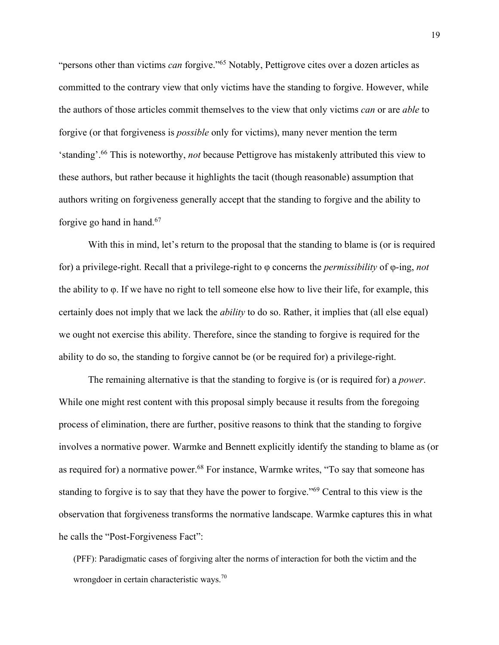"persons other than victims *can* forgive."65 Notably, Pettigrove cites over a dozen articles as committed to the contrary view that only victims have the standing to forgive. However, while the authors of those articles commit themselves to the view that only victims *can* or are *able* to forgive (or that forgiveness is *possible* only for victims), many never mention the term 'standing'.66 This is noteworthy, *not* because Pettigrove has mistakenly attributed this view to these authors, but rather because it highlights the tacit (though reasonable) assumption that authors writing on forgiveness generally accept that the standing to forgive and the ability to forgive go hand in hand.67

With this in mind, let's return to the proposal that the standing to blame is (or is required for) a privilege-right. Recall that a privilege-right to φ concerns the *permissibility* of φ-ing, *not* the ability to φ. If we have no right to tell someone else how to live their life, for example, this certainly does not imply that we lack the *ability* to do so. Rather, it implies that (all else equal) we ought not exercise this ability. Therefore, since the standing to forgive is required for the ability to do so, the standing to forgive cannot be (or be required for) a privilege-right.

The remaining alternative is that the standing to forgive is (or is required for) a *power*. While one might rest content with this proposal simply because it results from the foregoing process of elimination, there are further, positive reasons to think that the standing to forgive involves a normative power. Warmke and Bennett explicitly identify the standing to blame as (or as required for) a normative power.<sup>68</sup> For instance, Warmke writes, "To say that someone has standing to forgive is to say that they have the power to forgive."69 Central to this view is the observation that forgiveness transforms the normative landscape. Warmke captures this in what he calls the "Post-Forgiveness Fact":

(PFF): Paradigmatic cases of forgiving alter the norms of interaction for both the victim and the wrongdoer in certain characteristic ways.<sup>70</sup>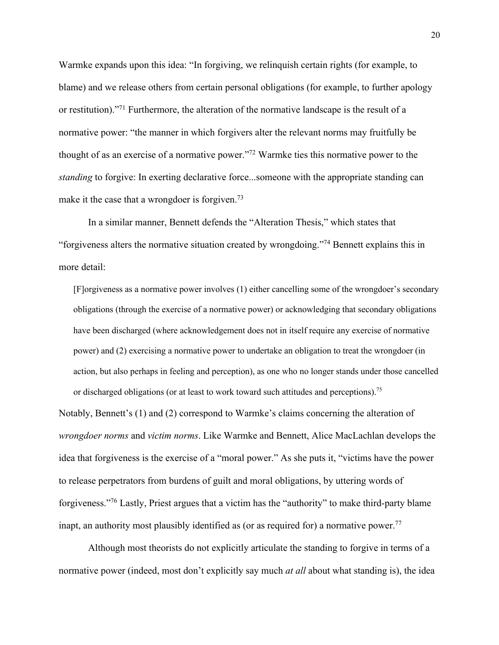Warmke expands upon this idea: "In forgiving, we relinquish certain rights (for example, to blame) and we release others from certain personal obligations (for example, to further apology or restitution)."71 Furthermore, the alteration of the normative landscape is the result of a normative power: "the manner in which forgivers alter the relevant norms may fruitfully be thought of as an exercise of a normative power."72 Warmke ties this normative power to the *standing* to forgive: In exerting declarative force...someone with the appropriate standing can make it the case that a wrongdoer is forgiven.<sup>73</sup>

In a similar manner, Bennett defends the "Alteration Thesis," which states that "forgiveness alters the normative situation created by wrongdoing."74 Bennett explains this in more detail:

[F]orgiveness as a normative power involves (1) either cancelling some of the wrongdoer's secondary obligations (through the exercise of a normative power) or acknowledging that secondary obligations have been discharged (where acknowledgement does not in itself require any exercise of normative power) and (2) exercising a normative power to undertake an obligation to treat the wrongdoer (in action, but also perhaps in feeling and perception), as one who no longer stands under those cancelled or discharged obligations (or at least to work toward such attitudes and perceptions).<sup>75</sup>

Notably, Bennett's (1) and (2) correspond to Warmke's claims concerning the alteration of *wrongdoer norms* and *victim norms*. Like Warmke and Bennett, Alice MacLachlan develops the idea that forgiveness is the exercise of a "moral power." As she puts it, "victims have the power to release perpetrators from burdens of guilt and moral obligations, by uttering words of forgiveness."76 Lastly, Priest argues that a victim has the "authority" to make third-party blame inapt, an authority most plausibly identified as (or as required for) a normative power.<sup>77</sup>

Although most theorists do not explicitly articulate the standing to forgive in terms of a normative power (indeed, most don't explicitly say much *at all* about what standing is), the idea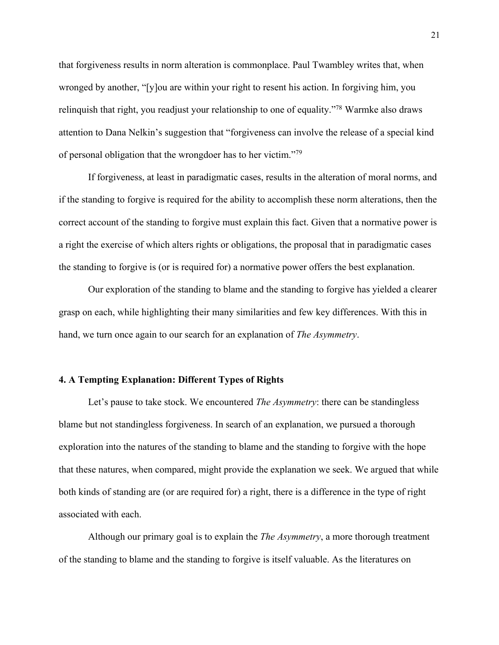that forgiveness results in norm alteration is commonplace. Paul Twambley writes that, when wronged by another, "[y]ou are within your right to resent his action. In forgiving him, you relinquish that right, you readjust your relationship to one of equality."78 Warmke also draws attention to Dana Nelkin's suggestion that "forgiveness can involve the release of a special kind of personal obligation that the wrongdoer has to her victim."79

If forgiveness, at least in paradigmatic cases, results in the alteration of moral norms, and if the standing to forgive is required for the ability to accomplish these norm alterations, then the correct account of the standing to forgive must explain this fact. Given that a normative power is a right the exercise of which alters rights or obligations, the proposal that in paradigmatic cases the standing to forgive is (or is required for) a normative power offers the best explanation.

Our exploration of the standing to blame and the standing to forgive has yielded a clearer grasp on each, while highlighting their many similarities and few key differences. With this in hand, we turn once again to our search for an explanation of *The Asymmetry*.

#### **4. A Tempting Explanation: Different Types of Rights**

Let's pause to take stock. We encountered *The Asymmetry*: there can be standingless blame but not standingless forgiveness. In search of an explanation, we pursued a thorough exploration into the natures of the standing to blame and the standing to forgive with the hope that these natures, when compared, might provide the explanation we seek. We argued that while both kinds of standing are (or are required for) a right, there is a difference in the type of right associated with each.

Although our primary goal is to explain the *The Asymmetry*, a more thorough treatment of the standing to blame and the standing to forgive is itself valuable. As the literatures on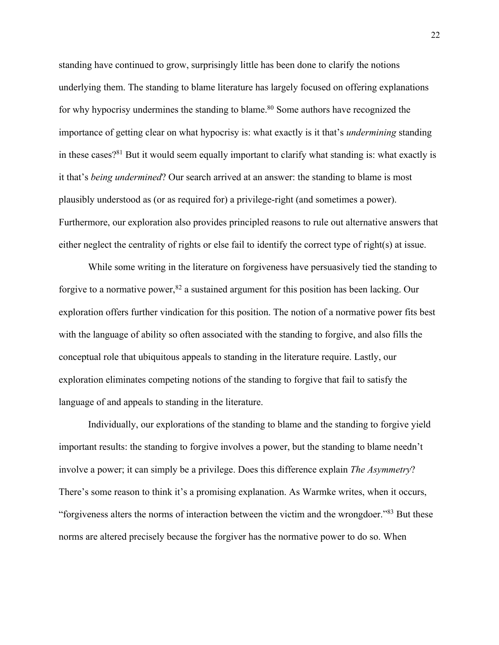standing have continued to grow, surprisingly little has been done to clarify the notions underlying them. The standing to blame literature has largely focused on offering explanations for why hypocrisy undermines the standing to blame.<sup>80</sup> Some authors have recognized the importance of getting clear on what hypocrisy is: what exactly is it that's *undermining* standing in these cases?<sup>81</sup> But it would seem equally important to clarify what standing is: what exactly is it that's *being undermined*? Our search arrived at an answer: the standing to blame is most plausibly understood as (or as required for) a privilege-right (and sometimes a power). Furthermore, our exploration also provides principled reasons to rule out alternative answers that either neglect the centrality of rights or else fail to identify the correct type of right(s) at issue.

While some writing in the literature on forgiveness have persuasively tied the standing to forgive to a normative power,  $82$  a sustained argument for this position has been lacking. Our exploration offers further vindication for this position. The notion of a normative power fits best with the language of ability so often associated with the standing to forgive, and also fills the conceptual role that ubiquitous appeals to standing in the literature require. Lastly, our exploration eliminates competing notions of the standing to forgive that fail to satisfy the language of and appeals to standing in the literature.

Individually, our explorations of the standing to blame and the standing to forgive yield important results: the standing to forgive involves a power, but the standing to blame needn't involve a power; it can simply be a privilege. Does this difference explain *The Asymmetry*? There's some reason to think it's a promising explanation. As Warmke writes, when it occurs, "forgiveness alters the norms of interaction between the victim and the wrongdoer."83 But these norms are altered precisely because the forgiver has the normative power to do so. When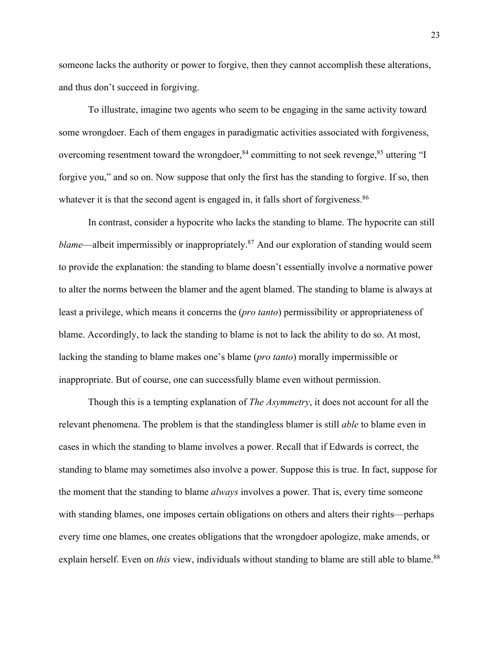someone lacks the authority or power to forgive, then they cannot accomplish these alterations, and thus don't succeed in forgiving.

To illustrate, imagine two agents who seem to be engaging in the same activity toward some wrongdoer. Each of them engages in paradigmatic activities associated with forgiveness, overcoming resentment toward the wrongdoer, $84$  committing to not seek revenge,  $85$  uttering "I forgive you," and so on. Now suppose that only the first has the standing to forgive. If so, then whatever it is that the second agent is engaged in, it falls short of forgiveness.<sup>86</sup>

In contrast, consider a hypocrite who lacks the standing to blame. The hypocrite can still *blame—albeit impermissibly or inappropriately.<sup>87</sup> And our exploration of standing would seem* to provide the explanation: the standing to blame doesn't essentially involve a normative power to alter the norms between the blamer and the agent blamed. The standing to blame is always at least a privilege, which means it concerns the (*pro tanto*) permissibility or appropriateness of blame. Accordingly, to lack the standing to blame is not to lack the ability to do so. At most, lacking the standing to blame makes one's blame (*pro tanto*) morally impermissible or inappropriate. But of course, one can successfully blame even without permission.

Though this is a tempting explanation of *The Asymmetry*, it does not account for all the relevant phenomena. The problem is that the standingless blamer is still *able* to blame even in cases in which the standing to blame involves a power. Recall that if Edwards is correct, the standing to blame may sometimes also involve a power. Suppose this is true. In fact, suppose for the moment that the standing to blame *always* involves a power. That is, every time someone with standing blames, one imposes certain obligations on others and alters their rights—perhaps every time one blames, one creates obligations that the wrongdoer apologize, make amends, or explain herself. Even on *this* view, individuals without standing to blame are still able to blame.<sup>88</sup>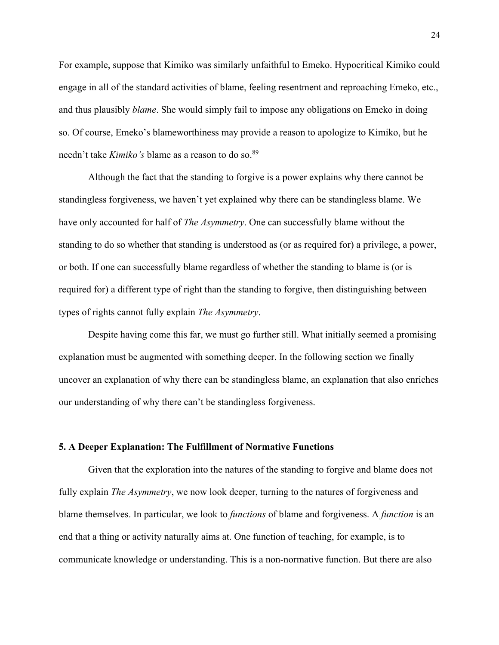For example, suppose that Kimiko was similarly unfaithful to Emeko. Hypocritical Kimiko could engage in all of the standard activities of blame, feeling resentment and reproaching Emeko, etc., and thus plausibly *blame*. She would simply fail to impose any obligations on Emeko in doing so. Of course, Emeko's blameworthiness may provide a reason to apologize to Kimiko, but he needn't take *Kimiko's* blame as a reason to do so.89

Although the fact that the standing to forgive is a power explains why there cannot be standingless forgiveness, we haven't yet explained why there can be standingless blame. We have only accounted for half of *The Asymmetry*. One can successfully blame without the standing to do so whether that standing is understood as (or as required for) a privilege, a power, or both. If one can successfully blame regardless of whether the standing to blame is (or is required for) a different type of right than the standing to forgive, then distinguishing between types of rights cannot fully explain *The Asymmetry*.

Despite having come this far, we must go further still. What initially seemed a promising explanation must be augmented with something deeper. In the following section we finally uncover an explanation of why there can be standingless blame, an explanation that also enriches our understanding of why there can't be standingless forgiveness.

#### **5. A Deeper Explanation: The Fulfillment of Normative Functions**

Given that the exploration into the natures of the standing to forgive and blame does not fully explain *The Asymmetry*, we now look deeper, turning to the natures of forgiveness and blame themselves. In particular, we look to *functions* of blame and forgiveness. A *function* is an end that a thing or activity naturally aims at. One function of teaching, for example, is to communicate knowledge or understanding. This is a non-normative function. But there are also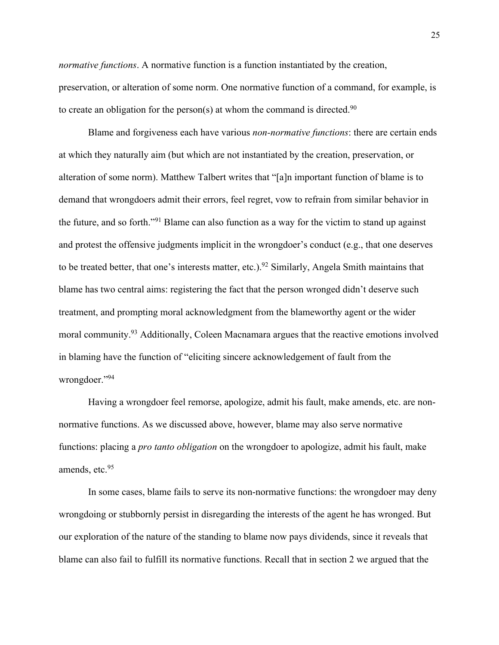*normative functions*. A normative function is a function instantiated by the creation, preservation, or alteration of some norm. One normative function of a command, for example, is to create an obligation for the person(s) at whom the command is directed.<sup>90</sup>

Blame and forgiveness each have various *non-normative functions*: there are certain ends at which they naturally aim (but which are not instantiated by the creation, preservation, or alteration of some norm). Matthew Talbert writes that "[a]n important function of blame is to demand that wrongdoers admit their errors, feel regret, vow to refrain from similar behavior in the future, and so forth."91 Blame can also function as a way for the victim to stand up against and protest the offensive judgments implicit in the wrongdoer's conduct (e.g., that one deserves to be treated better, that one's interests matter, etc.).<sup>92</sup> Similarly, Angela Smith maintains that blame has two central aims: registering the fact that the person wronged didn't deserve such treatment, and prompting moral acknowledgment from the blameworthy agent or the wider moral community.93 Additionally, Coleen Macnamara argues that the reactive emotions involved in blaming have the function of "eliciting sincere acknowledgement of fault from the wrongdoer."94

Having a wrongdoer feel remorse, apologize, admit his fault, make amends, etc. are nonnormative functions. As we discussed above, however, blame may also serve normative functions: placing a *pro tanto obligation* on the wrongdoer to apologize, admit his fault, make amends, etc.<sup>95</sup>

In some cases, blame fails to serve its non-normative functions: the wrongdoer may deny wrongdoing or stubbornly persist in disregarding the interests of the agent he has wronged. But our exploration of the nature of the standing to blame now pays dividends, since it reveals that blame can also fail to fulfill its normative functions. Recall that in section 2 we argued that the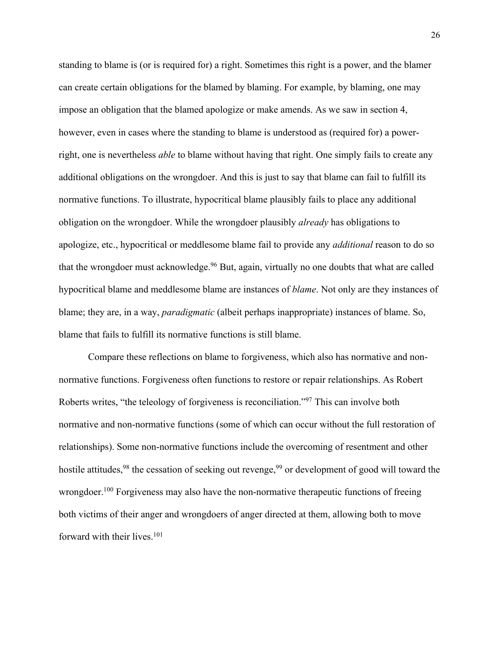standing to blame is (or is required for) a right. Sometimes this right is a power, and the blamer can create certain obligations for the blamed by blaming. For example, by blaming, one may impose an obligation that the blamed apologize or make amends. As we saw in section 4, however, even in cases where the standing to blame is understood as (required for) a powerright, one is nevertheless *able* to blame without having that right. One simply fails to create any additional obligations on the wrongdoer. And this is just to say that blame can fail to fulfill its normative functions. To illustrate, hypocritical blame plausibly fails to place any additional obligation on the wrongdoer. While the wrongdoer plausibly *already* has obligations to apologize, etc., hypocritical or meddlesome blame fail to provide any *additional* reason to do so that the wrongdoer must acknowledge.<sup>96</sup> But, again, virtually no one doubts that what are called hypocritical blame and meddlesome blame are instances of *blame*. Not only are they instances of blame; they are, in a way, *paradigmatic* (albeit perhaps inappropriate) instances of blame. So, blame that fails to fulfill its normative functions is still blame.

Compare these reflections on blame to forgiveness, which also has normative and nonnormative functions. Forgiveness often functions to restore or repair relationships. As Robert Roberts writes, "the teleology of forgiveness is reconciliation."97 This can involve both normative and non-normative functions (some of which can occur without the full restoration of relationships). Some non-normative functions include the overcoming of resentment and other hostile attitudes,  $98$  the cessation of seeking out revenge,  $99$  or development of good will toward the wrongdoer.<sup>100</sup> Forgiveness may also have the non-normative therapeutic functions of freeing both victims of their anger and wrongdoers of anger directed at them, allowing both to move forward with their lives.<sup>101</sup>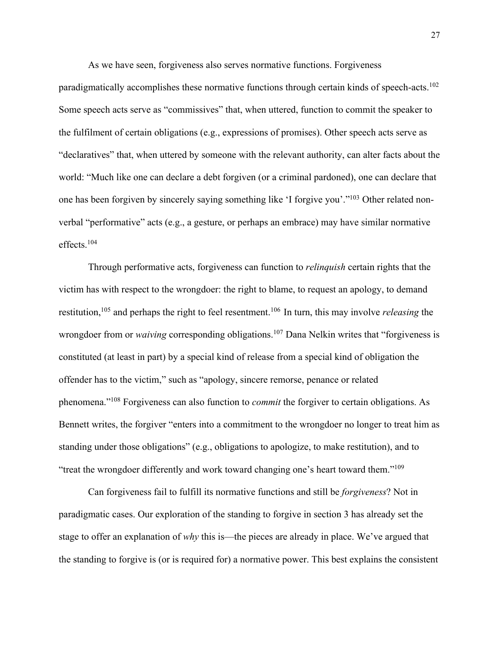As we have seen, forgiveness also serves normative functions. Forgiveness

paradigmatically accomplishes these normative functions through certain kinds of speech-acts.102 Some speech acts serve as "commissives" that, when uttered, function to commit the speaker to the fulfilment of certain obligations (e.g., expressions of promises). Other speech acts serve as "declaratives" that, when uttered by someone with the relevant authority, can alter facts about the world: "Much like one can declare a debt forgiven (or a criminal pardoned), one can declare that one has been forgiven by sincerely saying something like 'I forgive you'."103 Other related nonverbal "performative" acts (e.g., a gesture, or perhaps an embrace) may have similar normative effects.104

Through performative acts, forgiveness can function to *relinquish* certain rights that the victim has with respect to the wrongdoer: the right to blame, to request an apology, to demand restitution,105 and perhaps the right to feel resentment.106 In turn, this may involve *releasing* the wrongdoer from or *waiving* corresponding obligations.<sup>107</sup> Dana Nelkin writes that "forgiveness is constituted (at least in part) by a special kind of release from a special kind of obligation the offender has to the victim," such as "apology, sincere remorse, penance or related phenomena."108 Forgiveness can also function to *commit* the forgiver to certain obligations. As Bennett writes, the forgiver "enters into a commitment to the wrongdoer no longer to treat him as standing under those obligations" (e.g., obligations to apologize, to make restitution), and to "treat the wrongdoer differently and work toward changing one's heart toward them."109

Can forgiveness fail to fulfill its normative functions and still be *forgiveness*? Not in paradigmatic cases. Our exploration of the standing to forgive in section 3 has already set the stage to offer an explanation of *why* this is—the pieces are already in place. We've argued that the standing to forgive is (or is required for) a normative power. This best explains the consistent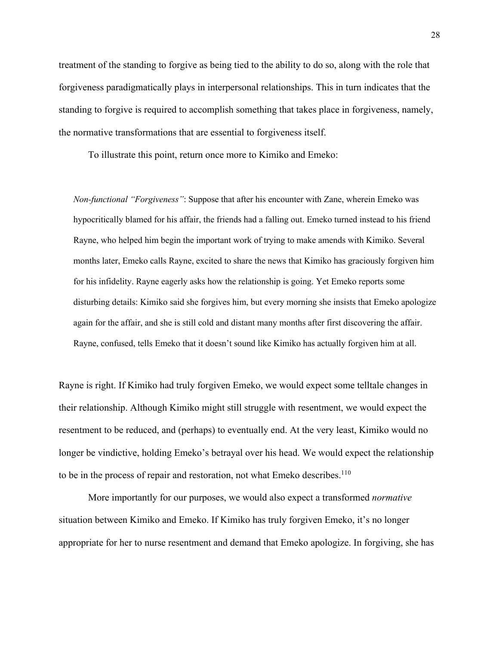treatment of the standing to forgive as being tied to the ability to do so, along with the role that forgiveness paradigmatically plays in interpersonal relationships. This in turn indicates that the standing to forgive is required to accomplish something that takes place in forgiveness, namely, the normative transformations that are essential to forgiveness itself.

To illustrate this point, return once more to Kimiko and Emeko:

*Non-functional "Forgiveness"*: Suppose that after his encounter with Zane, wherein Emeko was hypocritically blamed for his affair, the friends had a falling out. Emeko turned instead to his friend Rayne, who helped him begin the important work of trying to make amends with Kimiko. Several months later, Emeko calls Rayne, excited to share the news that Kimiko has graciously forgiven him for his infidelity. Rayne eagerly asks how the relationship is going. Yet Emeko reports some disturbing details: Kimiko said she forgives him, but every morning she insists that Emeko apologize again for the affair, and she is still cold and distant many months after first discovering the affair. Rayne, confused, tells Emeko that it doesn't sound like Kimiko has actually forgiven him at all.

Rayne is right. If Kimiko had truly forgiven Emeko, we would expect some telltale changes in their relationship. Although Kimiko might still struggle with resentment, we would expect the resentment to be reduced, and (perhaps) to eventually end. At the very least, Kimiko would no longer be vindictive, holding Emeko's betrayal over his head. We would expect the relationship to be in the process of repair and restoration, not what Emeko describes.<sup>110</sup>

More importantly for our purposes, we would also expect a transformed *normative* situation between Kimiko and Emeko. If Kimiko has truly forgiven Emeko, it's no longer appropriate for her to nurse resentment and demand that Emeko apologize. In forgiving, she has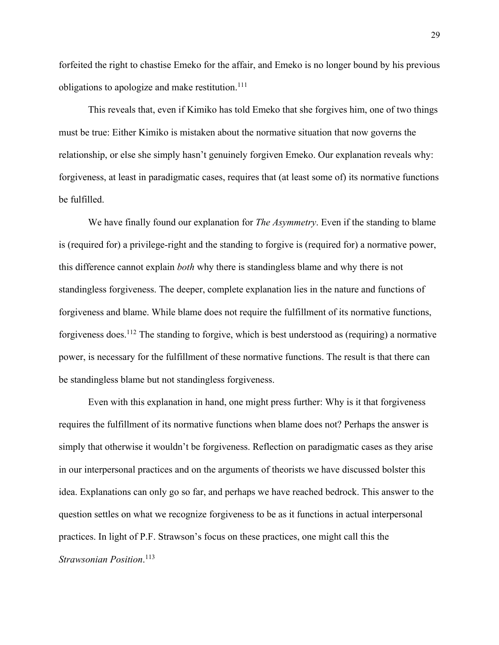forfeited the right to chastise Emeko for the affair, and Emeko is no longer bound by his previous obligations to apologize and make restitution.<sup>111</sup>

This reveals that, even if Kimiko has told Emeko that she forgives him, one of two things must be true: Either Kimiko is mistaken about the normative situation that now governs the relationship, or else she simply hasn't genuinely forgiven Emeko. Our explanation reveals why: forgiveness, at least in paradigmatic cases, requires that (at least some of) its normative functions be fulfilled.

We have finally found our explanation for *The Asymmetry*. Even if the standing to blame is (required for) a privilege-right and the standing to forgive is (required for) a normative power, this difference cannot explain *both* why there is standingless blame and why there is not standingless forgiveness. The deeper, complete explanation lies in the nature and functions of forgiveness and blame. While blame does not require the fulfillment of its normative functions, forgiveness does.<sup>112</sup> The standing to forgive, which is best understood as (requiring) a normative power, is necessary for the fulfillment of these normative functions. The result is that there can be standingless blame but not standingless forgiveness.

Even with this explanation in hand, one might press further: Why is it that forgiveness requires the fulfillment of its normative functions when blame does not? Perhaps the answer is simply that otherwise it wouldn't be forgiveness. Reflection on paradigmatic cases as they arise in our interpersonal practices and on the arguments of theorists we have discussed bolster this idea. Explanations can only go so far, and perhaps we have reached bedrock. This answer to the question settles on what we recognize forgiveness to be as it functions in actual interpersonal practices. In light of P.F. Strawson's focus on these practices, one might call this the *Strawsonian Position*. 113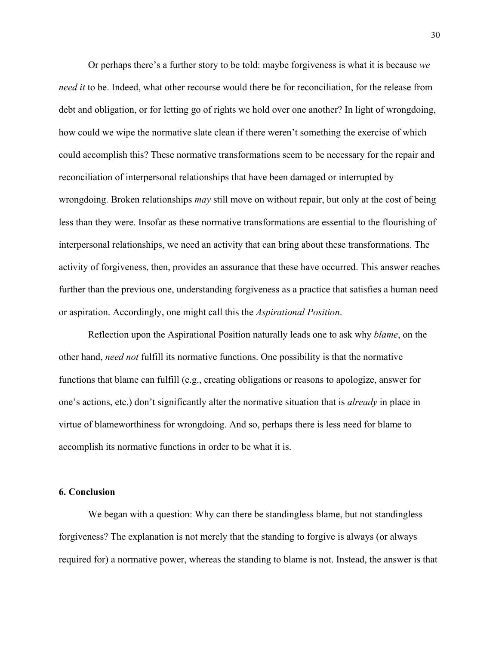Or perhaps there's a further story to be told: maybe forgiveness is what it is because *we need it* to be. Indeed, what other recourse would there be for reconciliation, for the release from debt and obligation, or for letting go of rights we hold over one another? In light of wrongdoing, how could we wipe the normative slate clean if there weren't something the exercise of which could accomplish this? These normative transformations seem to be necessary for the repair and reconciliation of interpersonal relationships that have been damaged or interrupted by wrongdoing. Broken relationships *may* still move on without repair, but only at the cost of being less than they were. Insofar as these normative transformations are essential to the flourishing of interpersonal relationships, we need an activity that can bring about these transformations. The activity of forgiveness, then, provides an assurance that these have occurred. This answer reaches further than the previous one, understanding forgiveness as a practice that satisfies a human need or aspiration. Accordingly, one might call this the *Aspirational Position*.

Reflection upon the Aspirational Position naturally leads one to ask why *blame*, on the other hand, *need not* fulfill its normative functions. One possibility is that the normative functions that blame can fulfill (e.g., creating obligations or reasons to apologize, answer for one's actions, etc.) don't significantly alter the normative situation that is *already* in place in virtue of blameworthiness for wrongdoing. And so, perhaps there is less need for blame to accomplish its normative functions in order to be what it is.

#### **6. Conclusion**

We began with a question: Why can there be standingless blame, but not standingless forgiveness? The explanation is not merely that the standing to forgive is always (or always required for) a normative power, whereas the standing to blame is not. Instead, the answer is that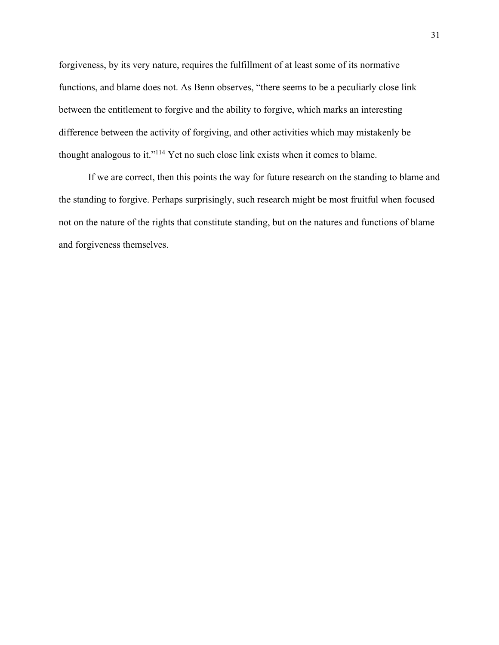forgiveness, by its very nature, requires the fulfillment of at least some of its normative functions, and blame does not. As Benn observes, "there seems to be a peculiarly close link between the entitlement to forgive and the ability to forgive, which marks an interesting difference between the activity of forgiving, and other activities which may mistakenly be thought analogous to it."114 Yet no such close link exists when it comes to blame.

If we are correct, then this points the way for future research on the standing to blame and the standing to forgive. Perhaps surprisingly, such research might be most fruitful when focused not on the nature of the rights that constitute standing, but on the natures and functions of blame and forgiveness themselves.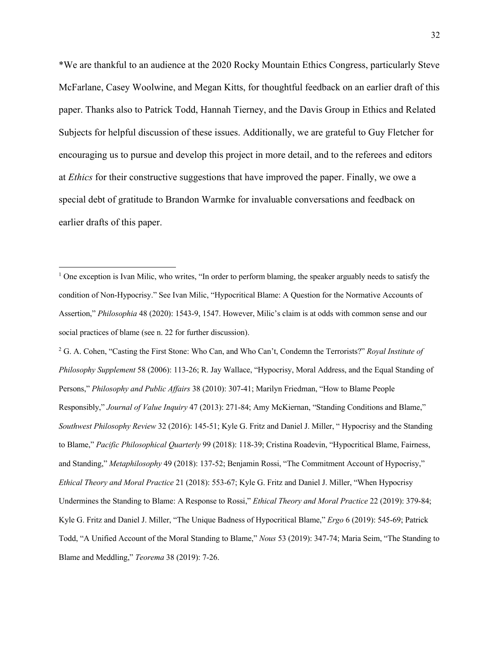\*We are thankful to an audience at the 2020 Rocky Mountain Ethics Congress, particularly Steve McFarlane, Casey Woolwine, and Megan Kitts, for thoughtful feedback on an earlier draft of this paper. Thanks also to Patrick Todd, Hannah Tierney, and the Davis Group in Ethics and Related Subjects for helpful discussion of these issues. Additionally, we are grateful to Guy Fletcher for encouraging us to pursue and develop this project in more detail, and to the referees and editors at *Ethics* for their constructive suggestions that have improved the paper. Finally, we owe a special debt of gratitude to Brandon Warmke for invaluable conversations and feedback on earlier drafts of this paper.

<sup>2</sup> G. A. Cohen, "Casting the First Stone: Who Can, and Who Can't, Condemn the Terrorists?" *Royal Institute of Philosophy Supplement* 58 (2006): 113-26; R. Jay Wallace, "Hypocrisy, Moral Address, and the Equal Standing of Persons," *Philosophy and Public Affairs* 38 (2010): 307-41; Marilyn Friedman, "How to Blame People Responsibly," *Journal of Value Inquiry* 47 (2013): 271-84; Amy McKiernan, "Standing Conditions and Blame," *Southwest Philosophy Review* 32 (2016): 145-51; Kyle G. Fritz and Daniel J. Miller, " Hypocrisy and the Standing to Blame," *Pacific Philosophical Quarterly* 99 (2018): 118-39; Cristina Roadevin, "Hypocritical Blame, Fairness, and Standing," *Metaphilosophy* 49 (2018): 137-52; Benjamin Rossi, "The Commitment Account of Hypocrisy," *Ethical Theory and Moral Practice* 21 (2018): 553-67; Kyle G. Fritz and Daniel J. Miller, "When Hypocrisy Undermines the Standing to Blame: A Response to Rossi," *Ethical Theory and Moral Practice* 22 (2019): 379-84; Kyle G. Fritz and Daniel J. Miller, "The Unique Badness of Hypocritical Blame," *Ergo* 6 (2019): 545-69; Patrick Todd, "A Unified Account of the Moral Standing to Blame," *Nous* 53 (2019): 347-74; Maria Seim, "The Standing to Blame and Meddling," *Teorema* 38 (2019): 7-26.

 $1$  One exception is Ivan Milic, who writes, "In order to perform blaming, the speaker arguably needs to satisfy the condition of Non-Hypocrisy." See Ivan Milic, "Hypocritical Blame: A Question for the Normative Accounts of Assertion," *Philosophia* 48 (2020): 1543-9, 1547. However, Milic's claim is at odds with common sense and our social practices of blame (see n. 22 for further discussion).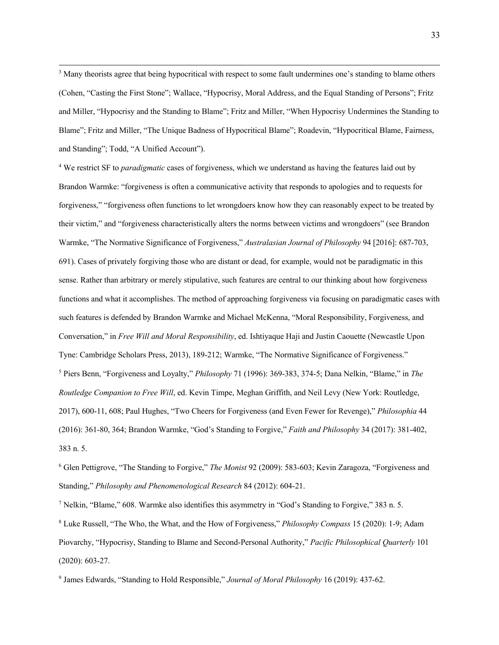<sup>3</sup> Many theorists agree that being hypocritical with respect to some fault undermines one's standing to blame others (Cohen, "Casting the First Stone"; Wallace, "Hypocrisy, Moral Address, and the Equal Standing of Persons"; Fritz and Miller, "Hypocrisy and the Standing to Blame"; Fritz and Miller, "When Hypocrisy Undermines the Standing to Blame"; Fritz and Miller, "The Unique Badness of Hypocritical Blame"; Roadevin, "Hypocritical Blame, Fairness, and Standing"; Todd, "A Unified Account").

<sup>4</sup> We restrict SF to *paradigmatic* cases of forgiveness, which we understand as having the features laid out by Brandon Warmke: "forgiveness is often a communicative activity that responds to apologies and to requests for forgiveness," "forgiveness often functions to let wrongdoers know how they can reasonably expect to be treated by their victim," and "forgiveness characteristically alters the norms between victims and wrongdoers" (see Brandon Warmke, "The Normative Significance of Forgiveness," *Australasian Journal of Philosophy* 94 [2016]: 687-703, 691). Cases of privately forgiving those who are distant or dead, for example, would not be paradigmatic in this sense. Rather than arbitrary or merely stipulative, such features are central to our thinking about how forgiveness functions and what it accomplishes. The method of approaching forgiveness via focusing on paradigmatic cases with such features is defended by Brandon Warmke and Michael McKenna, "Moral Responsibility, Forgiveness, and Conversation," in *Free Will and Moral Responsibility*, ed. Ishtiyaque Haji and Justin Caouette (Newcastle Upon Tyne: Cambridge Scholars Press, 2013), 189-212; Warmke, "The Normative Significance of Forgiveness." <sup>5</sup> Piers Benn, "Forgiveness and Loyalty," *Philosophy* 71 (1996): 369-383, 374-5; Dana Nelkin, "Blame," in *The Routledge Companion to Free Will*, ed. Kevin Timpe, Meghan Griffith, and Neil Levy (New York: Routledge, 2017), 600-11, 608; Paul Hughes, "Two Cheers for Forgiveness (and Even Fewer for Revenge)," *Philosophia* 44 (2016): 361-80, 364; Brandon Warmke, "God's Standing to Forgive," *Faith and Philosophy* 34 (2017): 381-402, 383 n. 5.

<sup>6</sup> Glen Pettigrove, "The Standing to Forgive," *The Monist* 92 (2009): 583-603; Kevin Zaragoza, "Forgiveness and Standing," *Philosophy and Phenomenological Research* 84 (2012): 604-21.

<sup>7</sup> Nelkin, "Blame," 608. Warmke also identifies this asymmetry in "God's Standing to Forgive," 383 n. 5. <sup>8</sup> Luke Russell, "The Who, the What, and the How of Forgiveness," *Philosophy Compass* 15 (2020): 1-9; Adam Piovarchy, "Hypocrisy, Standing to Blame and Second-Personal Authority," *Pacific Philosophical Quarterly* 101 (2020): 603-27.

<sup>9</sup> James Edwards, "Standing to Hold Responsible," *Journal of Moral Philosophy* 16 (2019): 437-62.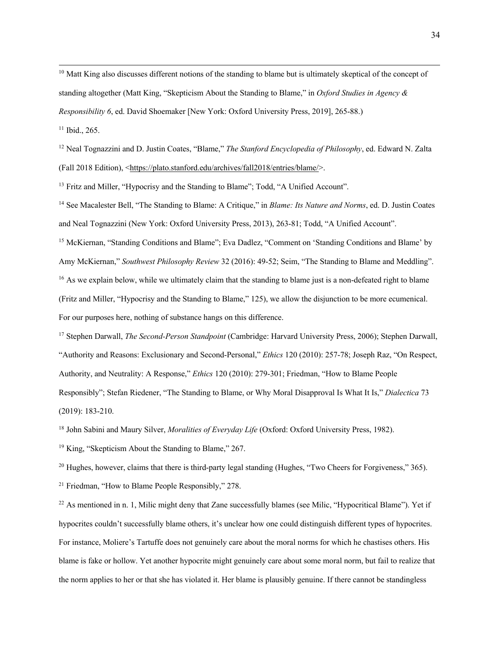$10$  Matt King also discusses different notions of the standing to blame but is ultimately skeptical of the concept of standing altogether (Matt King, "Skepticism About the Standing to Blame," in *Oxford Studies in Agency & Responsibility 6*, ed. David Shoemaker [New York: Oxford University Press, 2019], 265-88.)

<sup>11</sup> Ibid., 265.

<sup>12</sup> Neal Tognazzini and D. Justin Coates, "Blame," *The Stanford Encyclopedia of Philosophy*, ed. Edward N. Zalta (Fall 2018 Edition), <https://plato.stanford.edu/archives/fall2018/entries/blame/>.

<sup>13</sup> Fritz and Miller, "Hypocrisy and the Standing to Blame"; Todd, "A Unified Account".

<sup>14</sup> See Macalester Bell, "The Standing to Blame: A Critique," in *Blame: Its Nature and Norms*, ed. D. Justin Coates and Neal Tognazzini (New York: Oxford University Press, 2013), 263-81; Todd, "A Unified Account".

<sup>15</sup> McKiernan, "Standing Conditions and Blame"; Eva Dadlez, "Comment on 'Standing Conditions and Blame' by Amy McKiernan," *Southwest Philosophy Review* 32 (2016): 49-52; Seim, "The Standing to Blame and Meddling". <sup>16</sup> As we explain below, while we ultimately claim that the standing to blame just is a non-defeated right to blame (Fritz and Miller, "Hypocrisy and the Standing to Blame," 125), we allow the disjunction to be more ecumenical. For our purposes here, nothing of substance hangs on this difference.

<sup>17</sup> Stephen Darwall, *The Second-Person Standpoint* (Cambridge: Harvard University Press, 2006); Stephen Darwall, "Authority and Reasons: Exclusionary and Second-Personal," *Ethics* 120 (2010): 257-78; Joseph Raz, "On Respect, Authority, and Neutrality: A Response," *Ethics* 120 (2010): 279-301; Friedman, "How to Blame People Responsibly"; Stefan Riedener, "The Standing to Blame, or Why Moral Disapproval Is What It Is," *Dialectica* 73 (2019): 183-210.

<sup>18</sup> John Sabini and Maury Silver, *Moralities of Everyday Life* (Oxford: Oxford University Press, 1982).

<sup>19</sup> King, "Skepticism About the Standing to Blame," 267.

<sup>20</sup> Hughes, however, claims that there is third-party legal standing (Hughes, "Two Cheers for Forgiveness," 365).

<sup>21</sup> Friedman, "How to Blame People Responsibly," 278.

<sup>22</sup> As mentioned in n. 1, Milic might deny that Zane successfully blames (see Milic, "Hypocritical Blame"). Yet if hypocrites couldn't successfully blame others, it's unclear how one could distinguish different types of hypocrites. For instance, Moliere's Tartuffe does not genuinely care about the moral norms for which he chastises others. His blame is fake or hollow. Yet another hypocrite might genuinely care about some moral norm, but fail to realize that the norm applies to her or that she has violated it. Her blame is plausibly genuine. If there cannot be standingless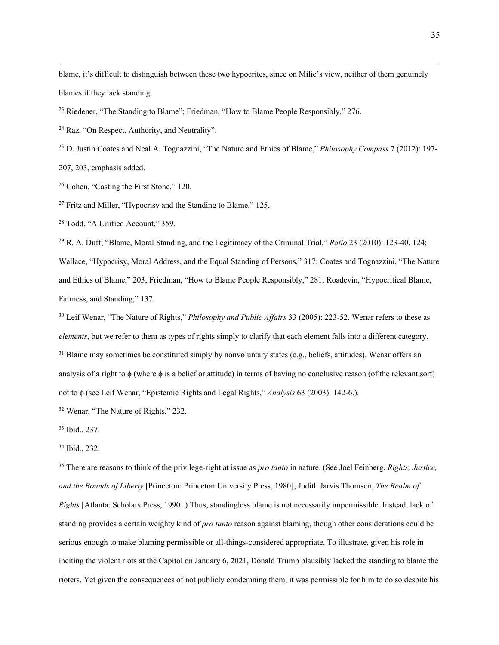blame, it's difficult to distinguish between these two hypocrites, since on Milic's view, neither of them genuinely blames if they lack standing.

- <sup>23</sup> Riedener, "The Standing to Blame"; Friedman, "How to Blame People Responsibly," 276.
- <sup>24</sup> Raz, "On Respect, Authority, and Neutrality".
- <sup>25</sup> D. Justin Coates and Neal A. Tognazzini, "The Nature and Ethics of Blame," *Philosophy Compass* 7 (2012): 197-

207, 203, emphasis added.

<sup>26</sup> Cohen, "Casting the First Stone," 120.

<sup>27</sup> Fritz and Miller, "Hypocrisy and the Standing to Blame," 125.

<sup>28</sup> Todd, "A Unified Account," 359.

<sup>29</sup> R. A. Duff, "Blame, Moral Standing, and the Legitimacy of the Criminal Trial," *Ratio* 23 (2010): 123-40, 124; Wallace, "Hypocrisy, Moral Address, and the Equal Standing of Persons," 317; Coates and Tognazzini, "The Nature and Ethics of Blame," 203; Friedman, "How to Blame People Responsibly," 281; Roadevin, "Hypocritical Blame, Fairness, and Standing," 137.

<sup>30</sup> Leif Wenar, "The Nature of Rights," *Philosophy and Public Affairs* 33 (2005): 223-52. Wenar refers to these as *elements*, but we refer to them as types of rights simply to clarify that each element falls into a different category.  $31$  Blame may sometimes be constituted simply by nonvoluntary states (e.g., beliefs, attitudes). Wenar offers an analysis of a right to  $\phi$  (where  $\phi$  is a belief or attitude) in terms of having no conclusive reason (of the relevant sort) not to ϕ (see Leif Wenar, "Epistemic Rights and Legal Rights," *Analysis* 63 (2003): 142-6.).

<sup>32</sup> Wenar, "The Nature of Rights," 232.

<sup>33</sup> Ibid., 237.

<sup>35</sup> There are reasons to think of the privilege-right at issue as *pro tanto* in nature. (See Joel Feinberg, *Rights, Justice, and the Bounds of Liberty* [Princeton: Princeton University Press, 1980]; Judith Jarvis Thomson, *The Realm of Rights* [Atlanta: Scholars Press, 1990].) Thus, standingless blame is not necessarily impermissible. Instead, lack of standing provides a certain weighty kind of *pro tanto* reason against blaming, though other considerations could be serious enough to make blaming permissible or all-things-considered appropriate. To illustrate, given his role in inciting the violent riots at the Capitol on January 6, 2021, Donald Trump plausibly lacked the standing to blame the rioters. Yet given the consequences of not publicly condemning them, it was permissible for him to do so despite his

<sup>34</sup> Ibid., 232.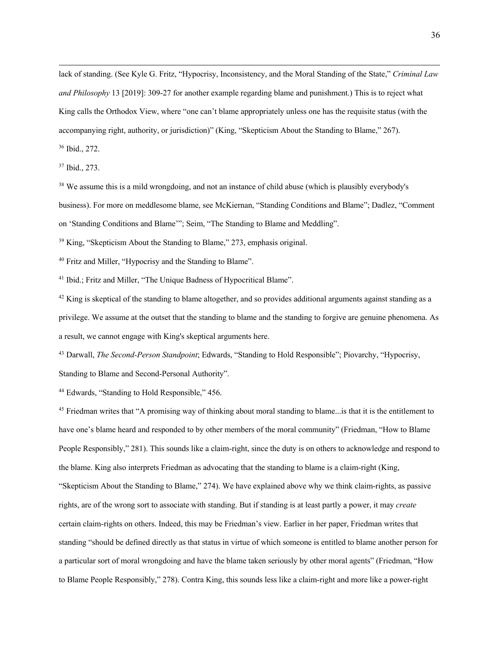lack of standing. (See Kyle G. Fritz, "Hypocrisy, Inconsistency, and the Moral Standing of the State," *Criminal Law and Philosophy* 13 [2019]: 309-27 for another example regarding blame and punishment.) This is to reject what King calls the Orthodox View, where "one can't blame appropriately unless one has the requisite status (with the accompanying right, authority, or jurisdiction)" (King, "Skepticism About the Standing to Blame," 267). <sup>36</sup> Ibid., 272.

<sup>37</sup> Ibid., 273.

<sup>38</sup> We assume this is a mild wrongdoing, and not an instance of child abuse (which is plausibly everybody's business). For more on meddlesome blame, see McKiernan, "Standing Conditions and Blame"; Dadlez, "Comment on 'Standing Conditions and Blame'"; Seim, "The Standing to Blame and Meddling".

<sup>39</sup> King, "Skepticism About the Standing to Blame," 273, emphasis original.

<sup>40</sup> Fritz and Miller, "Hypocrisy and the Standing to Blame".

<sup>41</sup> Ibid.; Fritz and Miller, "The Unique Badness of Hypocritical Blame".

 $42$  King is skeptical of the standing to blame altogether, and so provides additional arguments against standing as a privilege. We assume at the outset that the standing to blame and the standing to forgive are genuine phenomena. As a result, we cannot engage with King's skeptical arguments here.

<sup>43</sup> Darwall, *The Second-Person Standpoint*; Edwards, "Standing to Hold Responsible"; Piovarchy, "Hypocrisy, Standing to Blame and Second-Personal Authority".

<sup>44</sup> Edwards, "Standing to Hold Responsible," 456.

<sup>45</sup> Friedman writes that "A promising way of thinking about moral standing to blame...is that it is the entitlement to have one's blame heard and responded to by other members of the moral community" (Friedman, "How to Blame People Responsibly," 281). This sounds like a claim-right, since the duty is on others to acknowledge and respond to the blame. King also interprets Friedman as advocating that the standing to blame is a claim-right (King, "Skepticism About the Standing to Blame," 274). We have explained above why we think claim-rights, as passive rights, are of the wrong sort to associate with standing. But if standing is at least partly a power, it may *create* certain claim-rights on others. Indeed, this may be Friedman's view. Earlier in her paper, Friedman writes that standing "should be defined directly as that status in virtue of which someone is entitled to blame another person for a particular sort of moral wrongdoing and have the blame taken seriously by other moral agents" (Friedman, "How to Blame People Responsibly," 278). Contra King, this sounds less like a claim-right and more like a power-right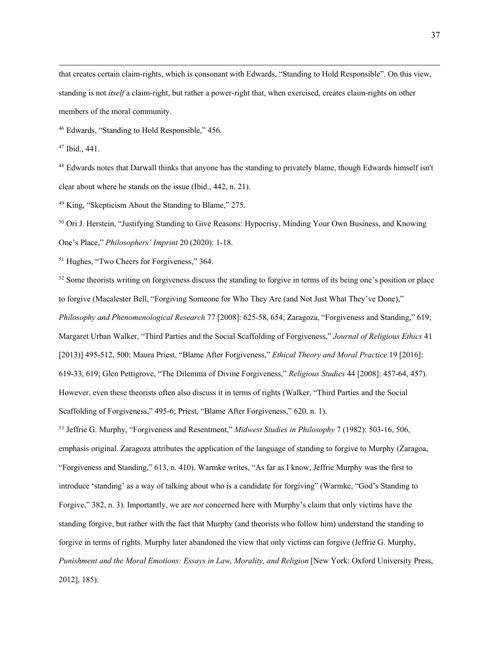that creates certain claim-rights, which is consonant with Edwards, "Standing to Hold Responsible". On this view, standing is not *itself* a claim-right, but rather a power-right that, when exercised, creates claim-rights on other members of the moral community.

<sup>46</sup> Edwards, "Standing to Hold Responsible," 456.

<sup>48</sup> Edwards notes that Darwall thinks that anyone has the standing to privately blame, though Edwards himself isn't clear about where he stands on the issue (Ibid., 442, n. 21).

<sup>49</sup> King, "Skepticism About the Standing to Blame," 275.

<sup>50</sup> Ori J. Herstein, "Justifying Standing to Give Reasons: Hypocrisy, Minding Your Own Business, and Knowing One's Place," *Philosophers' Imprint* 20 (2020): 1-18.

<sup>51</sup> Hughes, "Two Cheers for Forgiveness," 364.

 $52$  Some theorists writing on forgiveness discuss the standing to forgive in terms of its being one's position or place to forgive (Macalester Bell, "Forgiving Someone for Who They Are (and Not Just What They've Done)," *Philosophy and Phenomenological Research* 77 [2008]: 625-58, 654; Zaragoza, "Forgiveness and Standing," 619; Margaret Urban Walker, "Third Parties and the Social Scaffolding of Forgiveness," *Journal of Religious Ethics* 41 [2013)] 495-512, 500; Maura Priest, "Blame After Forgiveness," *Ethical Theory and Moral Practice* 19 [2016]: 619-33, 619; Glen Pettigrove, "The Dilemma of Divine Forgiveness," *Religious Studies* 44 [2008]: 457-64, 457). However, even these theorists often also discuss it in terms of rights (Walker, "Third Parties and the Social Scaffolding of Forgiveness," 495-6; Priest, "Blame After Forgiveness," 620, n. 1).

<sup>53</sup> Jeffrie G. Murphy, "Forgiveness and Resentment," *Midwest Studies in Philosophy* 7 (1982): 503-16, 506, emphasis original. Zaragoza attributes the application of the language of standing to forgive to Murphy (Zaragoa, "Forgiveness and Standing," 613, n. 410). Warmke writes, "As far as I know, Jeffrie Murphy was the first to introduce 'standing' as a way of talking about who is a candidate for forgiving" (Warmke, "God's Standing to Forgive," 382, n. 3). Importantly, we are *not* concerned here with Murphy's claim that only victims have the standing forgive, but rather with the fact that Murphy (and theorists who follow him) understand the standing to forgive in terms of rights. Murphy later abandoned the view that only victims can forgive (Jeffrie G. Murphy, *Punishment and the Moral Emotions: Essays in Law, Morality, and Religion* [New York: Oxford University Press, 2012], 185).

<sup>47</sup> Ibid., 441.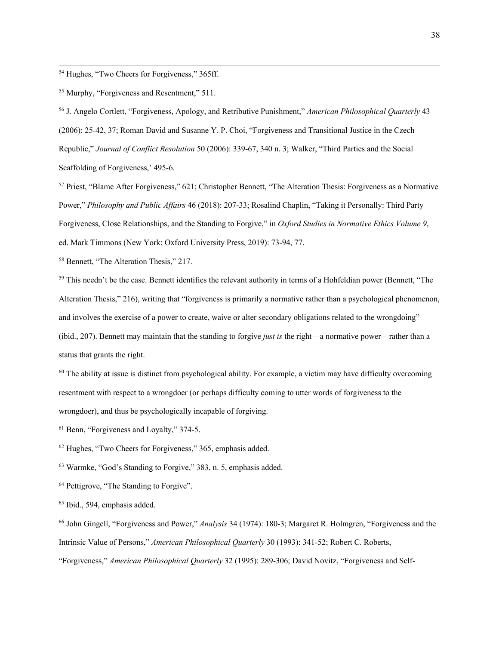<sup>54</sup> Hughes, "Two Cheers for Forgiveness," 365ff.

<sup>55</sup> Murphy, "Forgiveness and Resentment," 511.

<sup>56</sup> J. Angelo Cortlett, "Forgiveness, Apology, and Retributive Punishment," *American Philosophical Quarterly* 43 (2006): 25-42, 37; Roman David and Susanne Y. P. Choi, "Forgiveness and Transitional Justice in the Czech Republic," *Journal of Conflict Resolution* 50 (2006): 339-67, 340 n. 3; Walker, "Third Parties and the Social Scaffolding of Forgiveness,' 495-6.

<sup>57</sup> Priest, "Blame After Forgiveness," 621; Christopher Bennett, "The Alteration Thesis: Forgiveness as a Normative Power," *Philosophy and Public Affairs* 46 (2018): 207-33; Rosalind Chaplin, "Taking it Personally: Third Party Forgiveness, Close Relationships, and the Standing to Forgive," in *Oxford Studies in Normative Ethics Volume 9*, ed. Mark Timmons (New York: Oxford University Press, 2019): 73-94, 77.

<sup>58</sup> Bennett, "The Alteration Thesis," 217.

<sup>59</sup> This needn't be the case. Bennett identifies the relevant authority in terms of a Hohfeldian power (Bennett, "The Alteration Thesis," 216), writing that "forgiveness is primarily a normative rather than a psychological phenomenon, and involves the exercise of a power to create, waive or alter secondary obligations related to the wrongdoing" (ibid., 207). Bennett may maintain that the standing to forgive *just is* the right—a normative power—rather than a status that grants the right.

 $60$  The ability at issue is distinct from psychological ability. For example, a victim may have difficulty overcoming resentment with respect to a wrongdoer (or perhaps difficulty coming to utter words of forgiveness to the wrongdoer), and thus be psychologically incapable of forgiving.

<sup>61</sup> Benn, "Forgiveness and Loyalty," 374-5.

<sup>62</sup> Hughes, "Two Cheers for Forgiveness," 365, emphasis added.

<sup>63</sup> Warmke, "God's Standing to Forgive," 383, n. 5, emphasis added.

<sup>64</sup> Pettigrove, "The Standing to Forgive".

<sup>65</sup> Ibid., 594, emphasis added.

<sup>66</sup> John Gingell, "Forgiveness and Power," *Analysis* 34 (1974): 180-3; Margaret R. Holmgren, "Forgiveness and the Intrinsic Value of Persons," *American Philosophical Quarterly* 30 (1993): 341-52; Robert C. Roberts,

"Forgiveness," *American Philosophical Quarterly* 32 (1995): 289-306; David Novitz, "Forgiveness and Self-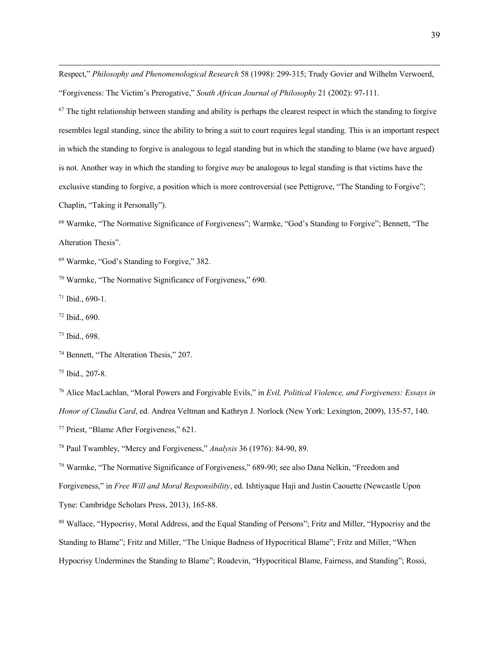Respect," *Philosophy and Phenomenological Research* 58 (1998): 299-315; Trudy Govier and Wilhelm Verwoerd, "Forgiveness: The Victim's Prerogative," *South African Journal of Philosophy* 21 (2002): 97-111.

 $67$  The tight relationship between standing and ability is perhaps the clearest respect in which the standing to forgive resembles legal standing, since the ability to bring a suit to court requires legal standing. This is an important respect in which the standing to forgive is analogous to legal standing but in which the standing to blame (we have argued) is not. Another way in which the standing to forgive *may* be analogous to legal standing is that victims have the exclusive standing to forgive, a position which is more controversial (see Pettigrove, "The Standing to Forgive"; Chaplin, "Taking it Personally").

<sup>68</sup> Warmke, "The Normative Significance of Forgiveness"; Warmke, "God's Standing to Forgive"; Bennett, "The Alteration Thesis".

<sup>69</sup> Warmke, "God's Standing to Forgive," 382.

<sup>70</sup> Warmke, "The Normative Significance of Forgiveness," 690.

<sup>71</sup> Ibid., 690-1.

<sup>72</sup> Ibid., 690.

<sup>73</sup> Ibid., 698.

<sup>74</sup> Bennett, "The Alteration Thesis," 207.

<sup>75</sup> Ibid., 207-8.

<sup>76</sup> Alice MacLachlan, "Moral Powers and Forgivable Evils," in *Evil, Political Violence, and Forgiveness: Essays in Honor of Claudia Card*, ed. Andrea Veltman and Kathryn J. Norlock (New York: Lexington, 2009), 135-57, 140. <sup>77</sup> Priest, "Blame After Forgiveness," 621.

<sup>78</sup> Paul Twambley, "Mercy and Forgiveness," *Analysis* 36 (1976): 84-90, 89.

<sup>79</sup> Warmke, "The Normative Significance of Forgiveness," 689-90; see also Dana Nelkin, "Freedom and Forgiveness," in *Free Will and Moral Responsibility*, ed. Ishtiyaque Haji and Justin Caouette (Newcastle Upon Tyne: Cambridge Scholars Press, 2013), 165-88.

<sup>80</sup> Wallace, "Hypocrisy, Moral Address, and the Equal Standing of Persons"; Fritz and Miller, "Hypocrisy and the Standing to Blame"; Fritz and Miller, "The Unique Badness of Hypocritical Blame"; Fritz and Miller, "When Hypocrisy Undermines the Standing to Blame"; Roadevin, "Hypocritical Blame, Fairness, and Standing"; Rossi,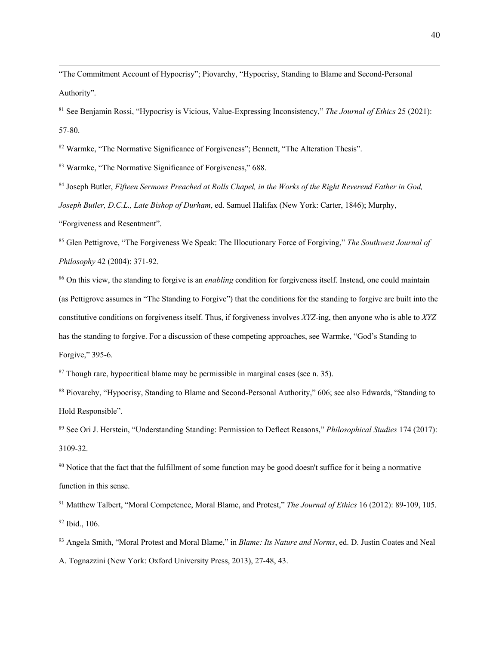"The Commitment Account of Hypocrisy"; Piovarchy, "Hypocrisy, Standing to Blame and Second-Personal Authority".

<sup>81</sup> See Benjamin Rossi, "Hypocrisy is Vicious, Value-Expressing Inconsistency," *The Journal of Ethics* 25 (2021): 57-80.

<sup>82</sup> Warmke, "The Normative Significance of Forgiveness"; Bennett, "The Alteration Thesis".

<sup>83</sup> Warmke, "The Normative Significance of Forgiveness," 688.

<sup>84</sup> Joseph Butler, *Fifteen Sermons Preached at Rolls Chapel, in the Works of the Right Reverend Father in God, Joseph Butler, D.C.L., Late Bishop of Durham*, ed. Samuel Halifax (New York: Carter, 1846); Murphy,

"Forgiveness and Resentment".

<sup>85</sup> Glen Pettigrove, "The Forgiveness We Speak: The Illocutionary Force of Forgiving," *The Southwest Journal of Philosophy* 42 (2004): 371-92.

<sup>86</sup> On this view, the standing to forgive is an *enabling* condition for forgiveness itself. Instead, one could maintain (as Pettigrove assumes in "The Standing to Forgive") that the conditions for the standing to forgive are built into the constitutive conditions on forgiveness itself. Thus, if forgiveness involves *XYZ*-ing, then anyone who is able to *XYZ* has the standing to forgive. For a discussion of these competing approaches, see Warmke, "God's Standing to Forgive," 395-6.

 $87$  Though rare, hypocritical blame may be permissible in marginal cases (see n. 35).

<sup>88</sup> Piovarchy, "Hypocrisy, Standing to Blame and Second-Personal Authority," 606; see also Edwards, "Standing to Hold Responsible".

<sup>89</sup> See Ori J. Herstein, "Understanding Standing: Permission to Deflect Reasons," *Philosophical Studies* 174 (2017): 3109-32.

<sup>90</sup> Notice that the fact that the fulfillment of some function may be good doesn't suffice for it being a normative function in this sense.

<sup>91</sup> Matthew Talbert, "Moral Competence, Moral Blame, and Protest," *The Journal of Ethics* 16 (2012): 89-109, 105. <sup>92</sup> Ibid., 106.

<sup>93</sup> Angela Smith, "Moral Protest and Moral Blame," in *Blame: Its Nature and Norms*, ed. D. Justin Coates and Neal A. Tognazzini (New York: Oxford University Press, 2013), 27-48, 43.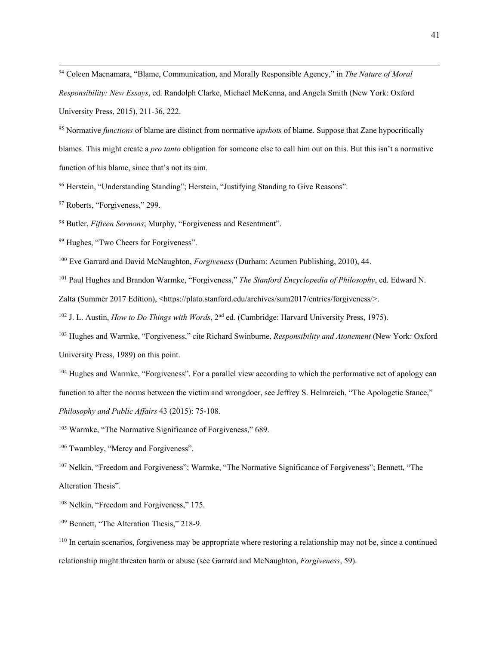<sup>94</sup> Coleen Macnamara, "Blame, Communication, and Morally Responsible Agency," in *The Nature of Moral Responsibility: New Essays*, ed. Randolph Clarke, Michael McKenna, and Angela Smith (New York: Oxford University Press, 2015), 211-36, 222.

<sup>95</sup> Normative *functions* of blame are distinct from normative *upshots* of blame. Suppose that Zane hypocritically blames. This might create a *pro tanto* obligation for someone else to call him out on this. But this isn't a normative function of his blame, since that's not its aim.

<sup>96</sup> Herstein, "Understanding Standing"; Herstein, "Justifying Standing to Give Reasons".

<sup>97</sup> Roberts, "Forgiveness," 299.

<sup>98</sup> Butler, *Fifteen Sermons*; Murphy, "Forgiveness and Resentment".

<sup>99</sup> Hughes, "Two Cheers for Forgiveness".

<sup>100</sup> Eve Garrard and David McNaughton, *Forgiveness* (Durham: Acumen Publishing, 2010), 44.

<sup>101</sup> Paul Hughes and Brandon Warmke, "Forgiveness," *The Stanford Encyclopedia of Philosophy*, ed. Edward N.

Zalta (Summer 2017 Edition), <https://plato.stanford.edu/archives/sum2017/entries/forgiveness/>.

<sup>102</sup> J. L. Austin, *How to Do Things with Words*, 2<sup>nd</sup> ed. (Cambridge: Harvard University Press, 1975).

<sup>103</sup> Hughes and Warmke, "Forgiveness," cite Richard Swinburne, *Responsibility and Atonement* (New York: Oxford University Press, 1989) on this point.

<sup>104</sup> Hughes and Warmke, "Forgiveness". For a parallel view according to which the performative act of apology can function to alter the norms between the victim and wrongdoer, see Jeffrey S. Helmreich, "The Apologetic Stance," *Philosophy and Public Affairs* 43 (2015): 75-108.

<sup>105</sup> Warmke, "The Normative Significance of Forgiveness," 689.

<sup>106</sup> Twambley, "Mercy and Forgiveness".

<sup>107</sup> Nelkin, "Freedom and Forgiveness"; Warmke, "The Normative Significance of Forgiveness"; Bennett, "The Alteration Thesis".

<sup>108</sup> Nelkin, "Freedom and Forgiveness," 175.

<sup>109</sup> Bennett, "The Alteration Thesis," 218-9.

<sup>110</sup> In certain scenarios, forgiveness may be appropriate where restoring a relationship may not be, since a continued relationship might threaten harm or abuse (see Garrard and McNaughton, *Forgiveness*, 59).